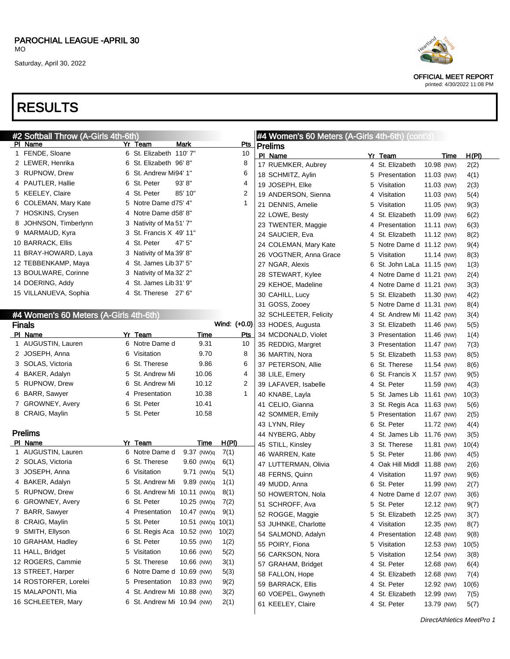## RESULTS

| #2 Softball Throw (A-Girls 4th-6th)    |    |                             |                   |              |     |                      | #4 Women's 60 Meters (A-Girls 4th-6th) (cont'd) |   |                             |            |             |       |
|----------------------------------------|----|-----------------------------|-------------------|--------------|-----|----------------------|-------------------------------------------------|---|-----------------------------|------------|-------------|-------|
| PI Name                                |    | Yr Team                     | <b>Mark</b>       |              | Pts | <b>Prelims</b>       |                                                 |   |                             |            |             |       |
| 1 FENDE, Sloane                        |    | 6 St. Elizabeth 110' 7"     |                   |              | 10  | PI Name              |                                                 |   | Yr Team                     |            | <u>Time</u> | H(PI) |
| 2 LEWER, Henrika                       |    | 6 St. Elizabeth 96'8"       |                   |              | 8   |                      | 17 RUEMKER, Aubrey                              |   | 4 St. Elizabeth             | 10.98 (NW) |             | 2(2)  |
| 3 RUPNOW, Drew                         |    | 6 St. Andrew Mi94' 1"       |                   |              | 6   | 18 SCHMITZ, Aylin    |                                                 |   | 5 Presentation              | 11.03 (NW) |             | 4(1)  |
| 4 PAUTLER, Hallie                      |    | 6 St. Peter                 | 93' 8''           |              | 4   | 19 JOSEPH, Elke      |                                                 | 5 | Visitation                  | 11.03 (NW) |             | 2(3)  |
| 5 KEELEY, Claire                       |    | 4 St. Peter                 | 85' 10"           |              | 2   |                      | 19 ANDERSON, Sienna                             |   | 4 Visitation                | 11.03 (NW) |             | 5(4)  |
| 6 COLEMAN, Mary Kate                   | 5  | Notre Dame d75' 4"          |                   |              | 1   | 21 DENNIS, Amelie    |                                                 | 5 | Visitation                  | 11.05 (NW) |             | 9(3)  |
| 7 HOSKINS, Crysen                      |    | 4 Notre Dame d58' 8"        |                   |              |     | 22 LOWE, Besty       |                                                 |   | 4 St. Elizabeth             | 11.09 (NW) |             | 6(2)  |
| 8 JOHNSON, Timberlynn                  |    | 3 Nativity of Ma 51' 7"     |                   |              |     |                      | 23 TWENTER, Maggie                              |   | 4 Presentation              | 11.11 (NW) |             | 6(3)  |
| 9 MARMAUD, Kyra                        | 3. | St. Francis X 49' 11"       |                   |              |     | 24 SAUCIER, Eva      |                                                 |   | 4 St. Elizabeth             | 11.12 (NW) |             | 8(2)  |
| 10 BARRACK, Ellis                      |    | 4 St. Peter                 | 47' 5"            |              |     |                      | 24 COLEMAN, Mary Kate                           |   | 5 Notre Dame d 11.12 (NW)   |            |             | 9(4)  |
| 11 BRAY-HOWARD, Laya                   |    | 3 Nativity of Ma 39' 8"     |                   |              |     |                      | 26 VOGTNER, Anna Grace                          | 5 | Visitation                  | 11.14 (NW) |             | 8(3)  |
| 12 TEBBENKAMP, Maya                    |    | 4 St. James Lib 37' 5"      |                   |              |     | 27 NGAR, Alexis      |                                                 | 6 | St. John LaLa 11.15 (NW)    |            |             | 1(3)  |
| 13 BOULWARE, Corinne                   | 3. | Nativity of Ma 32' 2"       |                   |              |     | 28 STEWART, Kylee    |                                                 |   | 4 Notre Dame d 11.21 (NW)   |            |             | 2(4)  |
| 14 DOERING, Addy                       |    | 4 St. James Lib 31' 9"      |                   |              |     | 29 KEHOE, Madeline   |                                                 |   | 4 Notre Dame d 11.21 (NW)   |            |             | 3(3)  |
| 15 VILLANUEVA, Sophia                  |    | 4 St. Therese 27' 6"        |                   |              |     | 30 CAHILL, Lucy      |                                                 | 5 | St. Elizabeth 11.30 (NW)    |            |             | 4(2)  |
|                                        |    |                             |                   |              |     | 31 GOSS, Zooey       |                                                 | 5 | Notre Dame d 11.31 (NW)     |            |             | 8(4)  |
| #4 Women's 60 Meters (A-Girls 4th-6th) |    |                             |                   |              |     |                      | 32 SCHLEETER, Felicity                          |   | 4 St. Andrew Mi 11.42 (NW)  |            |             | 3(4)  |
| <b>Finals</b>                          |    |                             |                   | Wind: (+0.0) |     | 33 HODES, Augusta    |                                                 | 3 | St. Elizabeth               | 11.46 (NW) |             | 5(5)  |
| PI Name                                |    | Yr Team                     | Time              |              | Pts |                      | 34 MCDONALD, Violet                             |   | 3 Presentation              | 11.46 (NW) |             | 1(4)  |
| 1 AUGUSTIN, Lauren                     |    | 6 Notre Dame d              | 9.31              |              | 10  | 35 REDDIG, Margret   |                                                 |   | 3 Presentation              | 11.47 (NW) |             | 7(3)  |
| 2 JOSEPH, Anna                         | 6  | Visitation                  | 9.70              |              | 8   | 36 MARTIN, Nora      |                                                 | 5 | St. Elizabeth               | 11.53 (NW) |             | 8(5)  |
| 3 SOLAS, Victoria                      | 6  | St. Therese                 | 9.86              |              | 6   | 37 PETERSON, Allie   |                                                 | 6 | St. Therese                 | 11.54 (NW) |             | 8(6)  |
| 4 BAKER, Adalyn                        | 5  | St. Andrew Mi               | 10.06             |              | 4   | 38 LILE, Emery       |                                                 | 6 | St. Francis X               | 11.57 (NW) |             | 9(5)  |
| 5 RUPNOW, Drew                         | 6  | St. Andrew Mi               | 10.12             |              | 2   | 39 LAFAVER, Isabelle |                                                 |   | 4 St. Peter                 | 11.59 (NW) |             | 4(3)  |
| 6 BARR, Sawyer                         |    | 4 Presentation              | 10.38             |              | 1   | 40 KNABE, Layla      |                                                 | 5 | St. James Lib 11.61 (NW)    |            |             | 10(3) |
| 7 GROWNEY, Avery                       | 6  | St. Peter                   | 10.41             |              |     | 41 CELIO, Gianna     |                                                 | 3 | St. Regis Aca 11.63 (NW)    |            |             | 5(6)  |
| 8 CRAIG, Maylin                        |    | 5 St. Peter                 | 10.58             |              |     | 42 SOMMER, Emily     |                                                 |   | 5 Presentation              | 11.67 (NW) |             | 2(5)  |
|                                        |    |                             |                   |              |     | 43 LYNN, Riley       |                                                 | 6 | St. Peter                   | 11.72 (NW) |             | 4(4)  |
| <b>Prelims</b>                         |    |                             |                   |              |     | 44 NYBERG, Abby      |                                                 |   | 4 St. James Lib 11.76 (NW)  |            |             | 3(5)  |
| PI Name                                |    | Yr Team                     | <b>Time</b>       | <u>H(PI)</u> |     | 45 STILL, Kinsley    |                                                 |   | 3 St. Therese               | 11.81 (NW) |             | 10(4) |
| 1 AUGUSTIN, Lauren                     |    | 6 Notre Dame d              | 9.37 (NW)q        | 7(1)         |     | 46 WARREN, Kate      |                                                 | 5 | St. Peter                   | 11.86 (NW) |             | 4(5)  |
| 2 SOLAS, Victoria                      |    | 6 St. Therese               | 9.60 (NW)q        | 6(1)         |     |                      | 47 LUTTERMAN, Olivia                            |   | 4 Oak Hill Middl 11.88 (NW) |            |             | 2(6)  |
| 3 JOSEPH, Anna                         |    | 6 Visitation                | 9.71 (NW)q        | 5(1)         |     | 48 FERNS, Quinn      |                                                 |   | 4 Visitation                | 11.97 (NW) |             | 9(6)  |
| 4 BAKER, Adalyn                        |    | 5 St. Andrew Mi             | 9.89 (NW)q        | 1(1)         |     | 49 MUDD, Anna        |                                                 | 6 | St. Peter                   | 11.99 (NW) |             | 2(7)  |
| 5 RUPNOW, Drew                         |    | 6 St. Andrew Mi 10.11 (NW)q |                   | 8(1)         |     | 50 HOWERTON, Nola    |                                                 |   | 4 Notre Dame d 12.07 (NW)   |            |             | 3(6)  |
| 6 GROWNEY, Avery                       |    | 6 St. Peter                 | 10.25 (NW)q       | 7(2)         |     | 51 SCHROFF, Ava      |                                                 |   | 5 St. Peter                 | 12.12 (NW) |             | 9(7)  |
| 7 BARR, Sawyer                         |    | 4 Presentation              | 10.47 (NW)q       | 9(1)         |     | 52 ROGGE, Maggie     |                                                 |   | 5 St. Elizabeth             | 12.25 (NW) |             | 3(7)  |
| 8 CRAIG, Maylin                        |    | 5 St. Peter                 | 10.51 (NW)q 10(1) |              |     | 53 JUHNKE, Charlotte |                                                 |   | 4 Visitation                | 12.35 (NW) |             | 8(7)  |
| 9 SMITH, Ellyson                       |    | 6 St. Regis Aca             | 10.52 (NW)        | 10(2)        |     | 54 SALMOND, Adalyn   |                                                 |   | 4 Presentation              | 12.48 (NW) |             | 9(8)  |
| 10 GRAHAM, Hadley                      |    | 6 St. Peter                 | 10.55 (NW)        | 1(2)         |     | 55 POIRY, Fiona      |                                                 |   | 5 Visitation                | 12.53 (NW) |             | 10(5) |
| 11 HALL, Bridget                       |    | 5 Visitation                | 10.66 (NW)        | 5(2)         |     | 56 CARKSON, Nora     |                                                 |   | 5 Visitation                | 12.54 (NW) |             | 3(8)  |
| 12 ROGERS, Cammie                      |    | 5 St. Therese               | 10.66 (NW)        | 3(1)         |     | 57 GRAHAM, Bridget   |                                                 |   | 4 St. Peter                 | 12.68 (NW) |             | 6(4)  |
| 13 STREET, Harper                      |    | 6 Notre Dame d 10.69 (NW)   |                   | 5(3)         |     | 58 FALLON, Hope      |                                                 |   | 4 St. Elizabeth             | 12.68 (NW) |             | 7(4)  |
| 14 ROSTORFER, Lorelei                  |    | 5 Presentation              | 10.83 (NW)        | 9(2)         |     | 59 BARRACK, Ellis    |                                                 |   | 4 St. Peter                 | 12.92 (NW) |             | 10(6) |
| 15 MALAPONTI, Mia                      |    | 4 St. Andrew Mi 10.88 (NW)  |                   | 3(2)         |     | 60 VOEPEL, Gwyneth   |                                                 |   | 4 St. Elizabeth             | 12.99 (NW) |             | 7(5)  |
| 16 SCHLEETER, Mary                     |    | 6 St. Andrew Mi 10.94 (NW)  |                   | 2(1)         |     | 61 KEELEY, Claire    |                                                 |   | 4 St. Peter                 | 13.79 (NW) |             | 5(7)  |
|                                        |    |                             |                   |              |     |                      |                                                 |   |                             |            |             |       |

DirectAthletics MeetPro 1



OFFICIAL MEET REPORT printed: 4/30/2022 11:08 PM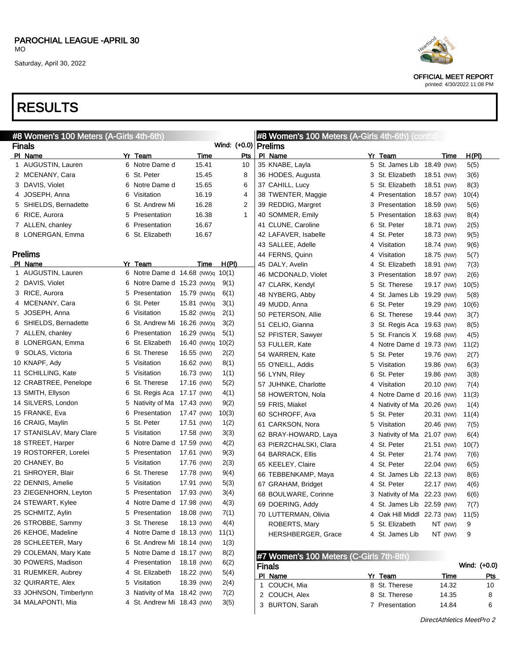### RESULTS

| #8 Women's 100 Meters (A-Girls 4th-6th)<br><b>#8 Women's 100 Meters (A-Girls 4th-6th) (cont'd)</b> |   |                                  |             |              |                |                                         |   |                             |             |       |              |
|----------------------------------------------------------------------------------------------------|---|----------------------------------|-------------|--------------|----------------|-----------------------------------------|---|-----------------------------|-------------|-------|--------------|
| <b>Finals</b>                                                                                      |   |                                  |             |              |                | Wind: (+0.0)   Prelims                  |   |                             |             |       |              |
| PI Name                                                                                            |   | Yr Team                          | Time        |              | Pts            | PI Name                                 |   | Yr Team                     | Time        | H(PI) |              |
| 1 AUGUSTIN, Lauren                                                                                 |   | 6 Notre Dame d                   | 15.41       |              | 10             | 35 KNABE, Layla                         |   | 5 St. James Lib 18.49 (NW)  |             | 5(5)  |              |
| 2 MCENANY, Cara                                                                                    |   | 6 St. Peter                      | 15.45       |              | 8              | 36 HODES, Augusta                       |   | 3 St. Elizabeth             | 18.51 (NW)  | 3(6)  |              |
| 3 DAVIS, Violet                                                                                    |   | 6 Notre Dame d                   | 15.65       |              | 6              | 37 CAHILL, Lucy                         |   | 5 St. Elizabeth             | 18.51 (NW)  | 8(3)  |              |
| 4 JOSEPH, Anna                                                                                     | 6 | Visitation                       | 16.19       |              | 4              | 38 TWENTER, Maggie                      |   | 4 Presentation              | 18.57 (NW)  | 10(4) |              |
| 5 SHIELDS, Bernadette                                                                              | 6 | St. Andrew Mi                    | 16.28       |              | $\overline{2}$ | 39 REDDIG, Margret                      |   | 3 Presentation              | 18.59 (NW)  | 5(6)  |              |
| 6 RICE, Aurora                                                                                     | 5 | Presentation                     | 16.38       |              | $\mathbf{1}$   | 40 SOMMER, Emily                        |   | 5 Presentation              | 18.63 (NW)  | 8(4)  |              |
| 7 ALLEN, chanley                                                                                   | 6 | Presentation                     | 16.67       |              |                | 41 CLUNE, Caroline                      |   | 6 St. Peter                 | 18.71 (NW)  | 2(5)  |              |
| 8 LONERGAN, Emma                                                                                   | 6 | St. Elizabeth                    | 16.67       |              |                | 42 LAFAVER, Isabelle                    |   | 4 St. Peter                 | 18.73 (NW)  | 9(5)  |              |
|                                                                                                    |   |                                  |             |              |                | 43 SALLEE, Adelle                       |   | 4 Visitation                | 18.74 (NW)  | 9(6)  |              |
| <b>Prelims</b>                                                                                     |   |                                  |             |              |                | 44 FERNS, Quinn                         |   | 4 Visitation                | 18.75 (NW)  | 5(7)  |              |
| PI Name                                                                                            |   | Yr Team                          | Time        | <u>H(PI)</u> |                | 45 DALY, Avelin                         |   | 4 St. Elizabeth             | 18.91 (NW)  | 7(3)  |              |
| 1 AUGUSTIN, Lauren                                                                                 |   | 6 Notre Dame d 14.68 (NW)q 10(1) |             |              |                | 46 MCDONALD, Violet                     |   | 3 Presentation              | 18.97 (NW)  | 2(6)  |              |
| 2 DAVIS, Violet                                                                                    |   | 6 Notre Dame d 15.23 (NW)q       |             | 9(1)         |                | 47 CLARK, Kendyl                        |   | 5 St. Therese               | 19.17 (NW)  | 10(5) |              |
| 3 RICE, Aurora                                                                                     |   | 5 Presentation                   | 15.79 (NW)g | 6(1)         |                | 48 NYBERG, Abby                         |   | 4 St. James Lib 19.29 (NW)  |             | 5(8)  |              |
| 4 MCENANY, Cara                                                                                    | 6 | St. Peter                        | 15.81 (NW)q | 3(1)         |                | 49 MUDD, Anna                           |   | 6 St. Peter                 | 19.29 (NW)  | 10(6) |              |
| 5 JOSEPH, Anna                                                                                     | 6 | Visitation                       | 15.82 (NW)q | 2(1)         |                | 50 PETERSON, Allie                      |   | 6 St. Therese               | 19.44 (NW)  | 3(7)  |              |
| 6 SHIELDS, Bernadette                                                                              | 6 | St. Andrew Mi 16.26 (NW)q        |             | 3(2)         |                | 51 CELIO, Gianna                        |   | 3 St. Regis Aca             | 19.63 (NW)  | 8(5)  |              |
| 7 ALLEN, chanley                                                                                   |   | 6 Presentation                   | 16.29 (NW)q | 5(1)         |                | 52 PFISTER, Sawyer                      |   | 5 St. Francis X             | 19.68 (NW)  | 4(5)  |              |
| 8 LONERGAN, Emma                                                                                   | 6 | St. Elizabeth                    | 16.40 (NW)q | 10(2)        |                | 53 FULLER, Kate                         |   | 4 Notre Dame d 19.73 (NW)   |             | 11(2) |              |
| 9 SOLAS, Victoria                                                                                  | 6 | St. Therese                      | 16.55 (NW)  | 2(2)         |                | 54 WARREN, Kate                         |   | 5 St. Peter                 | 19.76 (NW)  | 2(7)  |              |
| 10 KNAPF, Ady                                                                                      |   | 5 Visitation                     | 16.62 (NW)  | 8(1)         |                | 55 O'NEILL, Addis                       | 5 | Visitation                  | 19.86 (NW)  | 6(3)  |              |
| 11 SCHILLING, Kate                                                                                 | 5 | Visitation                       | 16.73 (NW)  | 1(1)         |                | 56 LYNN, Riley                          |   | 6 St. Peter                 | 19.86 (NW)  | 3(8)  |              |
| 12 CRABTREE, Penelope                                                                              | 6 | St. Therese                      | 17.16 (NW)  | 5(2)         |                | 57 JUHNKE, Charlotte                    |   | 4 Visitation                | 20.10 (NW)  | 7(4)  |              |
| 13 SMITH, Ellyson                                                                                  | 6 | St. Regis Aca                    | 17.17 (NW)  | 4(1)         |                | 58 HOWERTON, Nola                       |   | 4 Notre Dame d 20.16 (NW)   |             | 11(3) |              |
| 14 SILVERS, London                                                                                 |   | 5 Nativity of Ma                 | 17.43 (NW)  | 9(2)         |                | 59 FRIS, Miakel                         |   | 4 Nativity of Ma 20.26 (NW) |             | 1(4)  |              |
| 15 FRANKE, Eva                                                                                     | 6 | Presentation                     | 17.47 (NW)  | 10(3)        |                | 60 SCHROFF, Ava                         |   | 5 St. Peter                 | 20.31 (NW)  | 11(4) |              |
| 16 CRAIG, Maylin                                                                                   | 5 | St. Peter                        | 17.51 (NW)  | 1(2)         |                | 61 CARKSON, Nora                        | 5 | Visitation                  | 20.46 (NW)  | 7(5)  |              |
| 17 STANISLAV, Mary Clare                                                                           |   | 5 Visitation                     | 17.58 (NW)  | 3(3)         |                | 62 BRAY-HOWARD, Laya                    |   | 3 Nativity of Ma 21.07 (NW) |             | 6(4)  |              |
| 18 STREET, Harper                                                                                  | 6 | Notre Dame d 17.59 (NW)          |             | 4(2)         |                | 63 PIERZCHALSKI, Clara                  |   | 4 St. Peter                 | 21.51 (NW)  | 10(7) |              |
| 19 ROSTORFER, Lorelei                                                                              |   | 5 Presentation                   | 17.61 (NW)  | 9(3)         |                | 64 BARRACK, Ellis                       |   | 4 St. Peter                 | 21.74 (NW)  | 7(6)  |              |
| 20 CHANEY, Bo                                                                                      |   | 5 Visitation                     | 17.76 (NW)  | 2(3)         |                | 65 KEELEY, Claire                       |   | 4 St. Peter                 | 22.04 (NW)  | 6(5)  |              |
| 21 SHROYER, Blair                                                                                  | 6 | St. Therese                      | 17.78 (NW)  | 9(4)         |                | 66 TEBBENKAMP, Maya                     |   | 4 St. James Lib 22.13 (NW)  |             | 8(6)  |              |
| 22 DENNIS, Amelie                                                                                  | 5 | Visitation                       | 17.91 (NW)  | 5(3)         |                | 67 GRAHAM, Bridget                      |   | 4 St. Peter                 | 22.17 (NW)  | 4(6)  |              |
| 23 ZIEGENHORN, Leyton                                                                              |   | 5 Presentation                   | 17.93 (NW)  | 3(4)         |                | 68 BOULWARE, Corinne                    |   | 3 Nativity of Ma 22.23 (NW) |             | 6(6)  |              |
| 24 STEWART, Kylee                                                                                  |   | 4 Notre Dame d 17.98 (NW)        |             | 4(3)         |                | 69 DOERING, Addy                        |   | 4 St. James Lib 22.59 (NW)  |             | 7(7)  |              |
| 25 SCHMITZ, Aylin                                                                                  |   | 5 Presentation                   | 18.08 (NW)  | 7(1)         |                | 70 LUTTERMAN, Olivia                    |   | 4 Oak Hill Middl 22.73 (NW) |             | 11(5) |              |
| 26 STROBBE, Sammy                                                                                  |   | 3 St. Therese                    | 18.13 (NW)  | 4(4)         |                | ROBERTS, Mary                           |   | 5 St. Elizabeth             | NT (NW)     | 9     |              |
| 26 KEHOE, Madeline                                                                                 |   | 4 Notre Dame d 18.13 (NW)        |             | 11(1)        |                | HERSHBERGER, Grace                      |   | 4 St. James Lib             | NT (NW)     | 9     |              |
| 28 SCHLEETER, Mary                                                                                 | 6 | St. Andrew Mi 18.14 (NW)         |             | 1(3)         |                |                                         |   |                             |             |       |              |
| 29 COLEMAN, Mary Kate                                                                              |   | 5 Notre Dame d 18.17 (NW)        |             | 8(2)         |                | #7 Women's 100 Meters (C-Girls 7th-8th) |   |                             |             |       |              |
| 30 POWERS, Madison                                                                                 |   | 4 Presentation                   | 18.18 (NW)  | 6(2)         |                | <b>Finals</b>                           |   |                             |             |       | Wind: (+0.0) |
| 31 RUEMKER, Aubrey                                                                                 |   | 4 St. Elizabeth                  | 18.22 (NW)  | 5(4)         |                | PI Name                                 |   | Yr Team                     | <u>Time</u> |       | <u>Pts</u>   |
| 32 QUIRARTE, Alex                                                                                  |   | 5 Visitation                     | 18.39 (NW)  | 2(4)         |                | 1 COUCH, Mia                            |   | 8 St. Therese               | 14.32       |       | 10           |
| 33 JOHNSON, Timberlynn                                                                             |   | 3 Nativity of Ma 18.42 (NW)      |             | 7(2)         |                | 2 COUCH, Alex                           |   | 8 St. Therese               | 14.35       |       | 8            |
| 34 MALAPONTI, Mia                                                                                  |   | 4 St. Andrew Mi 18.43 (NW)       |             | 3(5)         |                | 3 BURTON, Sarah                         |   | 7 Presentation              | 14.84       |       | 6            |

OFFICIAL MEET REPORT

printed: 4/30/2022 11:08 PM

DirectAthletics MeetPro 2

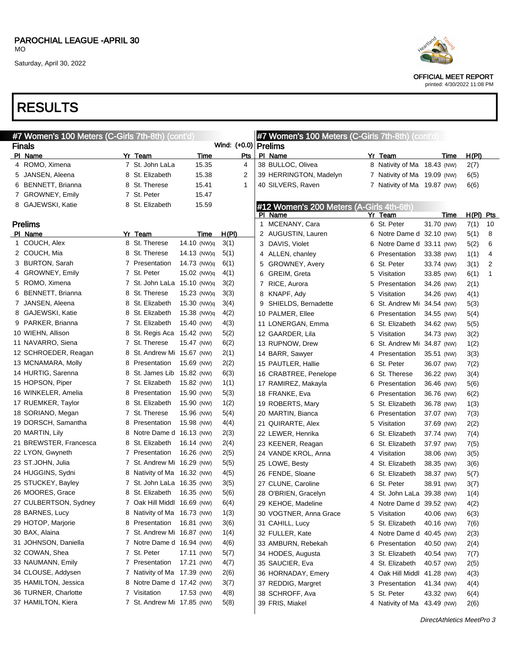OFFICIAL MEET REPORT printed: 4/30/2022 11:08 PM

| #7 Women's 100 Meters (C-Girls 7th-8th) (cont'd)<br>#7 Women's 100 Meters (C-Girls 7th-8th) (cont'd) |   |                             |             |              |     |                      |                                          |   |                             |            |      |           |    |
|------------------------------------------------------------------------------------------------------|---|-----------------------------|-------------|--------------|-----|----------------------|------------------------------------------|---|-----------------------------|------------|------|-----------|----|
| <b>Finals</b>                                                                                        |   |                             |             |              |     | Wind: (+0.0) Prelims |                                          |   |                             |            |      |           |    |
| PI Name                                                                                              |   | Yr Team                     | <b>Time</b> |              | Pts |                      | PI Name                                  |   | Yr Team                     |            | Time | H(PI)     |    |
| 4 ROMO, Ximena                                                                                       |   | 7 St. John LaLa             | 15.35       |              | 4   |                      | 38 BULLOC, Olivea                        |   | 8 Nativity of Ma 18.43 (NW) |            |      | 2(7)      |    |
| 5 JANSEN, Aleena                                                                                     |   | 8 St. Elizabeth             | 15.38       |              | 2   |                      | 39 HERRINGTON, Madelyn                   |   | 7 Nativity of Ma 19.09 (NW) |            |      | 6(5)      |    |
| 6 BENNETT, Brianna                                                                                   |   | 8 St. Therese               | 15.41       |              | 1   |                      | 40 SILVERS, Raven                        |   | 7 Nativity of Ma 19.87 (NW) |            |      | 6(6)      |    |
| 7 GROWNEY, Emily                                                                                     |   | 7 St. Peter                 | 15.47       |              |     |                      |                                          |   |                             |            |      |           |    |
| 8 GAJEWSKI, Katie                                                                                    |   | 8 St. Elizabeth             | 15.59       |              |     |                      | #12 Women's 200 Meters (A-Girls 4th-6th) |   |                             |            |      |           |    |
|                                                                                                      |   |                             |             |              |     |                      | PI Name                                  |   | Yr Team                     |            | Time | H(PI) Pts |    |
| <b>Prelims</b>                                                                                       |   |                             |             |              |     |                      | 1 MCENANY, Cara                          |   | 6 St. Peter                 | 31.70 (NW) |      | 7(1)      | 10 |
| PI Name                                                                                              |   | Yr Team                     | Time        | <u>H(PI)</u> |     |                      | 2 AUGUSTIN, Lauren                       |   | 6 Notre Dame d 32.10 (NW)   |            |      | 5(1)      | 8  |
| 1 COUCH, Alex                                                                                        |   | 8 St. Therese               | 14.10 (NW)q | 3(1)         |     |                      | 3 DAVIS, Violet                          | 6 | Notre Dame d 33.11 (NW)     |            |      | 5(2)      | 6  |
| 2 COUCH, Mia                                                                                         |   | 8 St. Therese               | 14.13 (NW)q | 5(1)         |     |                      | 4 ALLEN, chanley                         | 6 | Presentation                | 33.38 (NW) |      | 1(1)      | 4  |
| 3 BURTON, Sarah                                                                                      |   | 7 Presentation              | 14.73 (NW)q | 6(1)         |     | 5                    | <b>GROWNEY, Avery</b>                    | 6 | St. Peter                   | 33.74 (NW) |      | 3(1)      | 2  |
| 4 GROWNEY, Emily                                                                                     |   | 7 St. Peter                 | 15.02 (NW)q | 4(1)         |     | 6                    | GREIM, Greta                             | 5 | Visitation                  | 33.85 (NW) |      | 6(1)      | 1  |
| 5 ROMO, Ximena                                                                                       |   | 7 St. John LaLa             | 15.10 (NW)q | 3(2)         |     |                      | 7 RICE, Aurora                           | 5 | Presentation                | 34.26 (NW) |      | 2(1)      |    |
| 6 BENNETT, Brianna                                                                                   |   | 8 St. Therese               | 15.23 (NW)q | 3(3)         |     |                      | 8 KNAPF, Ady                             | 5 | Visitation                  | 34.26 (NW) |      | 4(1)      |    |
| 7 JANSEN, Aleena                                                                                     |   | 8 St. Elizabeth             | 15.30 (NW)q | 3(4)         |     | 9                    | SHIELDS, Bernadette                      | 6 | St. Andrew Mi 34.54 (NW)    |            |      | 5(3)      |    |
| 8 GAJEWSKI, Katie                                                                                    |   | 8 St. Elizabeth             | 15.38 (NW)q | 4(2)         |     |                      | 10 PALMER, Ellee                         | 6 | Presentation                | 34.55 (NW) |      | 5(4)      |    |
| 9 PARKER, Brianna                                                                                    |   | 7 St. Elizabeth             | 15.40 (NW)  | 4(3)         |     |                      | 11 LONERGAN, Emma                        | 6 | St. Elizabeth               | 34.62 (NW) |      | 5(5)      |    |
| 10 WIEHN, Allison                                                                                    |   | 8 St. Regis Aca             | 15.42 (NW)  | 5(2)         |     |                      | 12 GAARDER, Lila                         | 5 | Visitation                  | 34.73 (NW) |      | 3(2)      |    |
| 11 NAVARRO, Siena                                                                                    |   | 7 St. Therese               | 15.47 (NW)  | 6(2)         |     |                      | 13 RUPNOW, Drew                          | 6 | St. Andrew Mi 34.87 (NW)    |            |      | 1(2)      |    |
| 12 SCHROEDER, Reagan                                                                                 | 8 | St. Andrew Mi 15.67 (NW)    |             | 2(1)         |     |                      | 14 BARR, Sawyer                          | 4 | Presentation                | 35.51 (NW) |      | 3(3)      |    |
| 13 MCNAMARA, Molly                                                                                   | 8 | Presentation                | 15.69 (NW)  | 2(2)         |     |                      | 15 PAUTLER, Hallie                       | 6 | St. Peter                   | 36.07 (NW) |      | 7(2)      |    |
| 14 HURTIG, Sarenna                                                                                   | 8 | St. James Lib               | 15.82 (NW)  | 6(3)         |     |                      | 16 CRABTREE, Penelope                    | 6 | St. Therese                 | 36.22 (NW) |      | 3(4)      |    |
| 15 HOPSON, Piper                                                                                     |   | 7 St. Elizabeth             | 15.82 (NW)  | 1(1)         |     |                      | 17 RAMIREZ, Makayla                      | 6 | Presentation                | 36.46 (NW) |      | 5(6)      |    |
| 16 WINKELER, Amelia                                                                                  | 8 | Presentation                | 15.90 (NW)  | 5(3)         |     |                      | 18 FRANKE, Eva                           | 6 | Presentation                | 36.76 (NW) |      | 6(2)      |    |
| 17 RUEMKER, Taylor                                                                                   | 8 | St. Elizabeth               | 15.90 (NW)  | 1(2)         |     |                      | 19 ROBERTS, Mary                         | 5 | St. Elizabeth               | 36.78 (NW) |      | 1(3)      |    |
| 18 SORIANO, Megan                                                                                    |   | 7 St. Therese               | 15.96 (NW)  | 5(4)         |     |                      | 20 MARTIN, Bianca                        | 6 | Presentation                | 37.07 (NW) |      | 7(3)      |    |
| 19 DORSCH, Samantha                                                                                  | 8 | Presentation                | 15.98 (NW)  | 4(4)         |     |                      | 21 QUIRARTE, Alex                        | 5 | Visitation                  | 37.69 (NW) |      | 2(2)      |    |
| 20 MARTIN, Lily                                                                                      | 8 | Notre Dame d                | 16.13 (NW)  | 2(3)         |     |                      | 22 LEWER, Henrika                        | 6 | St. Elizabeth               | 37.74 (NW) |      | 7(4)      |    |
| 21 BREWSTER, Francesca                                                                               | 8 | St. Elizabeth               | 16.14 (NW)  | 2(4)         |     |                      | 23 KEENER, Reagan                        | 6 | St. Elizabeth               | 37.97 (NW) |      | 7(5)      |    |
| 22 LYON, Gwyneth                                                                                     |   | 7 Presentation              | 16.26 (NW)  | 2(5)         |     |                      | 24 VANDE KROL, Anna                      |   | 4 Visitation                | 38.06 (NW) |      | 3(5)      |    |
| 23 ST.JOHN, Julia                                                                                    |   | 7 St. Andrew Mi 16.29 (NW)  |             | 5(5)         |     |                      | 25 LOWE, Besty                           |   | 4 St. Elizabeth             | 38.35 (NW) |      | 3(6)      |    |
| 24 HUGGINS, Sydni                                                                                    |   | 8 Nativity of Ma 16.32 (NW) |             | 4(5)         |     |                      | 26 FENDE, Sloane                         |   | 6 St. Elizabeth             | 38.37 (NW) |      | 5(7)      |    |
| 25 STUCKEY, Bayley                                                                                   |   | 7 St. John LaLa 16.35 (NW)  |             | 3(5)         |     |                      | 27 CLUNE, Caroline                       |   | 6 St. Peter                 | 38.91 (NW) |      | 3(7)      |    |
| 26 MOORES, Grace                                                                                     |   | 8 St. Elizabeth             | 16.35 (NW)  | 5(6)         |     |                      | 28 O'BRIEN, Gracelyn                     |   | 4 St. John LaLa 39.38 (NW)  |            |      | 1(4)      |    |
| 27 CULBERTSON, Sydney                                                                                |   | 7 Oak Hill Middl 16.69 (NW) |             | 6(4)         |     |                      | 29 KEHOE, Madeline                       |   | 4 Notre Dame d 39.52 (NW)   |            |      | 4(2)      |    |
| 28 BARNES, Lucy                                                                                      |   | 8 Nativity of Ma 16.73 (NW) |             | 1(3)         |     |                      | 30 VOGTNER, Anna Grace                   |   | 5 Visitation                | 40.06 (NW) |      | 6(3)      |    |
| 29 HOTOP, Marjorie                                                                                   |   | 8 Presentation              | 16.81 (NW)  | 3(6)         |     |                      | 31 CAHILL, Lucy                          |   | 5 St. Elizabeth             | 40.16 (NW) |      | 7(6)      |    |
| 30 BAX, Alaina                                                                                       |   | 7 St. Andrew Mi 16.87 (NW)  |             | 1(4)         |     |                      | 32 FULLER, Kate                          |   | 4 Notre Dame d 40.45 (NW)   |            |      | 2(3)      |    |
| 31 JOHNSON, Daniella                                                                                 |   | 7 Notre Dame d 16.94 (NW)   |             | 4(6)         |     |                      | 33 AMBURN, Rebekah                       |   | 6 Presentation              | 40.50 (NW) |      | 2(4)      |    |
| 32 COWAN, Shea                                                                                       |   | 7 St. Peter                 | 17.11 (NW)  | 5(7)         |     |                      | 34 HODES, Augusta                        |   | 3 St. Elizabeth             | 40.54 (NW) |      | 7(7)      |    |
| 33 NAUMANN, Emily                                                                                    |   | 7 Presentation              | 17.21 (NW)  | 4(7)         |     |                      | 35 SAUCIER, Eva                          |   | 4 St. Elizabeth             | 40.57 (NW) |      | 2(5)      |    |
| 34 CLOUSE, Addysen                                                                                   |   | 7 Nativity of Ma 17.39 (NW) |             | 2(6)         |     |                      | 36 HORNADAY, Emery                       |   | 4 Oak Hill Middl 41.28 (NW) |            |      | 4(3)      |    |
| 35 HAMILTON, Jessica                                                                                 |   | 8 Notre Dame d 17.42 (NW)   |             | 3(7)         |     |                      | 37 REDDIG, Margret                       |   | 3 Presentation              | 41.34 (NW) |      | 4(4)      |    |
| 36 TURNER, Charlotte                                                                                 |   | 7 Visitation                | 17.53 (NW)  | 4(8)         |     |                      | 38 SCHROFF, Ava                          |   | 5 St. Peter                 | 43.32 (NW) |      | 6(4)      |    |
| 37 HAMILTON, Kiera                                                                                   |   | 7 St. Andrew Mi 17.85 (NW)  |             | 5(8)         |     |                      | 39 FRIS, Miakel                          |   | 4 Nativity of Ma 43.49 (NW) |            |      | 2(6)      |    |
|                                                                                                      |   |                             |             |              |     |                      |                                          |   |                             |            |      |           |    |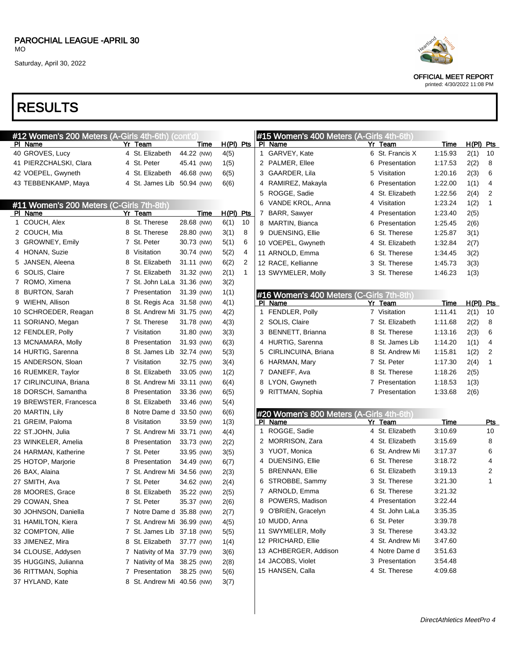### RESULTS

| #12 Women's 200 Meters (A-Girls 4th-6th) (cont'd |   |                             |             |             |    | #15 Women's 400 Meters (A-Girls 4th-6th) |   |                 |             |             |                |
|--------------------------------------------------|---|-----------------------------|-------------|-------------|----|------------------------------------------|---|-----------------|-------------|-------------|----------------|
| PI Name                                          |   | Yr Team                     | <u>Time</u> | $H(PI)$ Pts |    | PI Name                                  |   | Yr Team         | <u>Time</u> | H(PI) Pts   |                |
| 40 GROVES, Lucy                                  |   | 4 St. Elizabeth             | 44.22 (NW)  | 4(5)        |    | 1 GARVEY, Kate                           |   | 6 St. Francis X | 1:15.93     | 2(1)        | 10             |
| 41 PIERZCHALSKI, Clara                           |   | 4 St. Peter                 | 45.41 (NW)  | 1(5)        |    | 2 PALMER, Ellee                          |   | 6 Presentation  | 1:17.53     | 2(2)        | 8              |
| 42 VOEPEL, Gwyneth                               |   | 4 St. Elizabeth             | 46.68 (NW)  | 6(5)        |    | 3 GAARDER, Lila                          |   | 5 Visitation    | 1:20.16     | 2(3)        | 6              |
| 43 TEBBENKAMP, Maya                              |   | 4 St. James Lib 50.94 (NW)  |             | 6(6)        |    | 4 RAMIREZ, Makayla                       | 6 | Presentation    | 1:22.00     | 1(1)        | 4              |
|                                                  |   |                             |             |             |    | 5 ROGGE, Sadie                           | 4 | St. Elizabeth   | 1:22.56     | 2(4)        | 2              |
| #11 Women's 200 Meters (C-Girls 7th-8th)         |   |                             |             |             |    | 6 VANDE KROL, Anna                       |   | 4 Visitation    | 1:23.24     | 1(2)        | $\mathbf{1}$   |
| PI Name                                          |   | Yr Team                     | <b>Time</b> | H(PI) Pts   |    | 7 BARR, Sawyer                           | 4 | Presentation    | 1:23.40     | 2(5)        |                |
| 1 COUCH, Alex                                    |   | 8 St. Therese               | 28.68 (NW)  | 6(1)        | 10 | 8 MARTIN, Bianca                         | 6 | Presentation    | 1:25.45     | 2(6)        |                |
| 2 COUCH, Mia                                     |   | 8 St. Therese               | 28.80 (NW)  | 3(1)        | 8  | 9 DUENSING, Ellie                        |   | 6 St. Therese   | 1:25.87     | 3(1)        |                |
| 3 GROWNEY, Emily                                 |   | 7 St. Peter                 | 30.73 (NW)  | 5(1)        | 6  | 10 VOEPEL, Gwyneth                       |   | 4 St. Elizabeth | 1:32.84     | 2(7)        |                |
| 4 HONAN, Suzie                                   |   | 8 Visitation                | 30.74 (NW)  | 5(2)        | 4  | 11 ARNOLD, Emma                          |   | 6 St. Therese   | 1:34.45     | 3(2)        |                |
| 5 JANSEN, Aleena                                 |   | 8 St. Elizabeth             | 31.11 (NW)  | 6(2)        | 2  | 12 RACE, Kellianne                       |   | 3 St. Therese   | 1:45.73     | 3(3)        |                |
| 6 SOLIS, Claire                                  |   | 7 St. Elizabeth             | 31.32 (NW)  | 2(1)        | 1  | 13 SWYMELER, Molly                       |   | 3 St. Therese   | 1:46.23     | 1(3)        |                |
| 7 ROMO, Ximena                                   |   | 7 St. John LaLa 31.36 (NW)  |             | 3(2)        |    |                                          |   |                 |             |             |                |
| 8 BURTON, Sarah                                  |   | 7 Presentation              | 31.39 (NW)  | 1(1)        |    | #16 Women's 400 Meters (C-Girls 7th-8th) |   |                 |             |             |                |
| 9 WIEHN, Allison                                 |   | 8 St. Regis Aca 31.58 (NW)  |             | 4(1)        |    | PI Name                                  |   | Yr Team         | <b>Time</b> | $H(PI)$ Pts |                |
| 10 SCHROEDER, Reagan                             | 8 | St. Andrew Mi 31.75 (NW)    |             | 4(2)        |    | 1 FENDLER, Polly                         |   | 7 Visitation    | 1:11.41     | 2(1)        | 10             |
| 11 SORIANO, Megan                                |   | 7 St. Therese               | 31.78 (NW)  | 4(3)        |    | 2 SOLIS, Claire                          |   | 7 St. Elizabeth | 1:11.68     | 2(2)        | 8              |
| 12 FENDLER, Polly                                |   | 7 Visitation                | 31.80 (NW)  | 3(3)        |    | 3 BENNETT, Brianna                       |   | 8 St. Therese   | 1:13.16     | 2(3)        | 6              |
| 13 MCNAMARA, Molly                               | 8 | Presentation                | 31.93 (NW)  | 6(3)        |    | 4 HURTIG, Sarenna                        |   | 8 St. James Lib | 1:14.20     | 1(1)        | 4              |
| 14 HURTIG, Sarenna                               | 8 | St. James Lib               | 32.74 (NW)  | 5(3)        |    | 5 CIRLINCUINA, Briana                    |   | 8 St. Andrew Mi | 1:15.81     | 1(2)        | $\overline{2}$ |
| 15 ANDERSON, Sloan                               |   | 7 Visitation                | 32.75 (NW)  | 3(4)        |    | 6 HARMAN, Mary                           |   | 7 St. Peter     | 1:17.30     | 2(4)        | 1              |
| 16 RUEMKER, Taylor                               | 8 | St. Elizabeth               | 33.05 (NW)  | 1(2)        |    | 7 DANEFF, Ava                            |   | 8 St. Therese   | 1:18.26     | 2(5)        |                |
| 17 CIRLINCUINA, Briana                           | 8 | St. Andrew Mi 33.11 (NW)    |             | 6(4)        |    | 8 LYON, Gwyneth                          |   | 7 Presentation  | 1:18.53     | 1(3)        |                |
| 18 DORSCH, Samantha                              |   | 8 Presentation              | 33.36 (NW)  | 6(5)        |    | 9 RITTMAN, Sophia                        |   | 7 Presentation  | 1:33.68     | 2(6)        |                |
| 19 BREWSTER, Francesca                           | 8 | St. Elizabeth               | 33.46 (NW)  | 5(4)        |    |                                          |   |                 |             |             |                |
| 20 MARTIN, Lily                                  |   | 8 Notre Dame d 33.50 (NW)   |             | 6(6)        |    | #20 Women's 800 Meters (A-Girls 4th-6th) |   |                 |             |             |                |
| 21 GREIM, Paloma                                 | 8 | Visitation                  | 33.59 (NW)  | 1(3)        |    | PI Name                                  |   | Yr Team         | Time        |             | Pts            |
| 22 ST.JOHN, Julia                                |   | 7 St. Andrew Mi 33.71 (NW)  |             | 4(4)        |    | 1 ROGGE, Sadie                           |   | 4 St. Elizabeth | 3:10.69     |             | 10             |
| 23 WINKELER, Amelia                              |   | 8 Presentation              | 33.73 (NW)  | 2(2)        |    | 2 MORRISON, Zara                         |   | 4 St. Elizabeth | 3:15.69     |             | 8              |
| 24 HARMAN, Katherine                             |   | 7 St. Peter                 | 33.95 (NW)  | 3(5)        |    | 3 YUOT, Monica                           |   | 6 St. Andrew Mi | 3:17.37     |             | 6              |
| 25 HOTOP, Marjorie                               |   | 8 Presentation              | 34.49 (NW)  | 6(7)        |    | 4 DUENSING, Ellie                        |   | 6 St. Therese   | 3:18.72     |             | 4              |
| 26 BAX, Alaina                                   |   | 7 St. Andrew Mi 34.56 (NW)  |             | 2(3)        |    | 5 BRENNAN, Ellie                         |   | 6 St. Elizabeth | 3:19.13     |             | 2              |
| 27 SMITH, Ava                                    |   | 7 St. Peter                 | 34.62 (NW)  | 2(4)        |    | 6 STROBBE, Sammy                         |   | 3 St. Therese   | 3:21.30     |             | 1              |
| 28 MOORES, Grace                                 |   | 8 St. Elizabeth             | 35.22 (NW)  | 2(5)        |    | 7 ARNOLD, Emma                           |   | 6 St. Therese   | 3:21.32     |             |                |
| 29 COWAN, Shea                                   |   | 7 St. Peter                 | 35.37 (NW)  | 2(6)        |    | 8 POWERS, Madison                        |   | 4 Presentation  | 3:22.44     |             |                |
| 30 JOHNSON, Daniella                             |   | 7 Notre Dame d 35.88 (NW)   |             | 2(7)        |    | 9 O'BRIEN, Gracelyn                      |   | 4 St. John LaLa | 3:35.35     |             |                |
| 31 HAMILTON, Kiera                               |   | 7 St. Andrew Mi 36.99 (NW)  |             | 4(5)        |    | 10 MUDD, Anna                            |   | 6 St. Peter     | 3:39.78     |             |                |
| 32 COMPTON, Allie                                |   | 7 St. James Lib 37.18 (NW)  |             | 5(5)        |    | 11 SWYMELER, Molly                       |   | 3 St. Therese   | 3:43.32     |             |                |
| 33 JIMENEZ, Mira                                 |   | 8 St. Elizabeth             | 37.77 (NW)  | 1(4)        |    | 12 PRICHARD, Ellie                       |   | 4 St. Andrew Mi | 3:47.60     |             |                |
| 34 CLOUSE, Addysen                               |   | 7 Nativity of Ma 37.79 (NW) |             | 3(6)        |    | 13 ACHBERGER, Addison                    |   | 4 Notre Dame d  | 3:51.63     |             |                |
| 35 HUGGINS, Julianna                             |   | 7 Nativity of Ma 38.25 (NW) |             | 2(8)        |    | 14 JACOBS, Violet                        |   | 3 Presentation  | 3:54.48     |             |                |
| 36 RITTMAN, Sophia                               |   | 7 Presentation              | 38.25 (NW)  | 5(6)        |    | 15 HANSEN, Calla                         |   | 4 St. Therese   | 4:09.68     |             |                |
| 37 HYLAND, Kate                                  |   | 8 St. Andrew Mi 40.56 (NW)  |             | 3(7)        |    |                                          |   |                 |             |             |                |



OFFICIAL MEET REPORT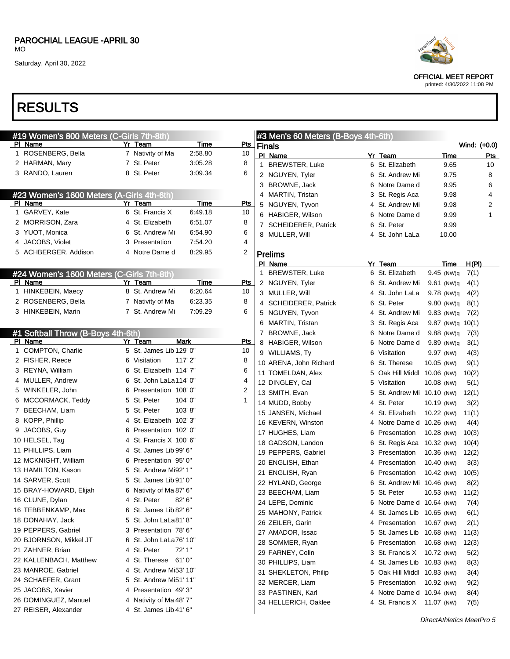### RESULTS

|  | #19 Women's 800 Meters (C-Girls 7th-8th)  |                                                   |             |            | #3 Men's 60                     |
|--|-------------------------------------------|---------------------------------------------------|-------------|------------|---------------------------------|
|  | <u>PI Name</u>                            | <u>Yr Team</u>                                    | <b>Time</b> | Pts        | <b>Finals</b>                   |
|  | 1 ROSENBERG, Bella                        | 7 Nativity of Ma                                  | 2:58.80     | 10         | PI Name                         |
|  | 2 HARMAN, Mary                            | 7 St. Peter                                       | 3:05.28     | 8          | <b>BREWSTER</b><br>1.           |
|  | 3 RANDO, Lauren                           | 8 St. Peter                                       | 3:09.34     | 6          | 2 NGUYEN, T                     |
|  |                                           |                                                   |             |            | 3 BROWNE, J                     |
|  | #23 Women's 1600 Meters (A-Girls 4th-6th) |                                                   |             |            | 4 MARTIN, Tri                   |
|  | PI Name                                   | Yr Team                                           | Time        | <u>Pts</u> | 5 NGUYEN, T                     |
|  | 1 GARVEY, Kate                            | 6 St. Francis X                                   | 6:49.18     | 10         | 6 HABIGER, V                    |
|  | 2 MORRISON, Zara                          | 4 St. Elizabeth                                   | 6:51.07     | 8          | <b>SCHEIDERE</b><br>$7^{\circ}$ |
|  | 3 YUOT, Monica                            | 6 St. Andrew Mi                                   | 6:54.90     | 6          | 8 MULLER, W                     |
|  | 4 JACOBS, Violet                          | 3 Presentation                                    | 7:54.20     | 4          |                                 |
|  | 5 ACHBERGER, Addison                      | 4 Notre Dame d                                    | 8:29.95     | 2          | <b>Prelims</b>                  |
|  |                                           |                                                   |             |            | PI_Name                         |
|  | #24 Women's 1600 Meters (C-Girls 7th-8th) |                                                   |             |            | 1 BREWSTEF                      |
|  | <b>PI</b> Name                            | Yr Team                                           | <u>Time</u> | <u>Pts</u> | 2 NGUYEN, T                     |
|  | 1 HINKEBEIN, Maecy                        | 8 St. Andrew Mi                                   | 6:20.64     | 10         | 3 MULLER, W                     |
|  | 2 ROSENBERG, Bella                        | 7 Nativity of Ma                                  | 6:23.35     | 8          | 4 SCHEIDERI                     |
|  | 3 HINKEBEIN, Marin                        | 7 St. Andrew Mi                                   | 7:09.29     | 6          | 5 NGUYEN, T                     |
|  |                                           |                                                   |             |            | 6 MARTIN, Tri                   |
|  | #1 Softball Throw (B-Boys 4th-6th)        |                                                   |             |            | 7 BROWNE, J                     |
|  | PI Name                                   | Yr Team                                           | Mark        | Pts        | 8 HABIGER, V                    |
|  | 1 COMPTON, Charlie                        | 5 St. James Lib 129' 0"                           |             | 10         | 9 WILLIAMS,                     |
|  | 2 FISHER, Reece                           | 6 Visitation                                      | 117' 2"     | 8          | 10 ARENA, Joh                   |
|  | 3 REYNA, William                          | 6 St. Elizabeth 114' 7"                           |             | 6          | 11 TOMELDAN                     |
|  | 4 MULLER, Andrew                          | 6 St. John LaLa114' 0"                            |             | 4          | 12 DINGLEY, C                   |
|  | 5 WINKELER, John                          | 6 Presentation 108'0"                             |             | 2          | 13 SMITH, Eva                   |
|  | 6 MCCORMACK, Teddy                        | 5 St. Peter                                       | 104'0"      | 1          | 14 MUDD, Bobl                   |
|  | 7 BEECHAM, Liam                           | 5 St. Peter                                       | 103'8"      |            | 15 JANSEN, M                    |
|  | 8 KOPP, Phillip                           | 4 St. Elizabeth 102' 3"                           |             |            | 16 KEVERN, W                    |
|  | 9 JACOBS, Guy<br>10 HELSEL, Tag           | 6 Presentation 102' 0"<br>4 St. Francis X 100' 6" |             |            | 17 HUGHES, L                    |
|  | 11 PHILLIPS, Liam                         | 4 St. James Lib 99' 6"                            |             |            | 18 GADSON, L                    |
|  | 12 MCKNIGHT, William                      | 6 Presentation 95' 0"                             |             |            | 19 PEPPERS,                     |
|  | 13 HAMILTON, Kason                        | 5 St. Andrew Mi92' 1"                             |             |            | 20 ENGLISH, E                   |
|  | 14 SARVER, Scott                          | 5 St. James Lib 91' 0"                            |             |            | 21 ENGLISH, R                   |
|  | 15 BRAY-HOWARD, Elijah                    | 6 Nativity of Ma 87' 6"                           |             |            | 22 HYLAND, G                    |
|  | 16 CLUNE, Dylan                           | 4 St. Peter 82' 6"                                |             |            | 23 BEECHAM,                     |
|  | 16 TEBBENKAMP, Max                        | 6 St. James Lib 82' 6"                            |             |            | 24 LEPE, Domi                   |
|  | 18 DONAHAY, Jack                          | 5 St. John LaLa81' 8"                             |             |            | 25 MAHONY, P                    |
|  | 19 PEPPERS, Gabriel                       | 3 Presentation 78'6"                              |             |            | 26 ZEILER, Ga                   |
|  | 20 BJORNSON, Mikkel JT                    | 6 St. John LaLa76' 10"                            |             |            | 27 AMADOR, Is                   |
|  | 21 ZAHNER, Brian                          | 4 St. Peter                                       | 72' 1"      |            | 28 SOMMER, F                    |
|  | 22 KALLENBACH, Matthew                    | 4 St. Therese                                     | 61'0''      |            | 29 FARNEY, C                    |
|  | 23 MANROE, Gabriel                        | 4 St. Andrew Mi53' 10"                            |             |            | 30 PHILLIPS, L<br>31 SHEKLETO   |
|  | 24 SCHAEFER, Grant                        | 5 St. Andrew Mi51' 11"                            |             |            |                                 |
|  | 25 JACOBS, Xavier                         | 4 Presentation 49'3"                              |             |            | 32 MERCER, L                    |
|  | 26 DOMINGUEZ, Manuel                      | 4 Nativity of Ma 48' 7"                           |             |            | 33 PASTINEN,<br>34 HELLERICH    |
|  | 27 REISER, Alexander                      | 4 St. James Lib 41' 6"                            |             |            |                                 |
|  |                                           |                                                   |             |            |                                 |



OFFICIAL MEET REPORT

|    | #3 Men's 60 Meters (B-Boys 4th-6th) |   |                 |                    |              |
|----|-------------------------------------|---|-----------------|--------------------|--------------|
|    | Finals                              |   |                 |                    | Wind: (+0.0) |
|    | PI Name                             |   | Yr Team         | Time               | Pts          |
| 1  | BREWSTER, Luke                      |   | 6 St. Elizabeth | 9.65               | 10           |
| 2  | NGUYEN, Tyler                       |   | 6 St. Andrew Mi | 9.75               | 8            |
| 3. | BROWNE, Jack                        |   | 6 Notre Dame d  | 9.95               | 6            |
| 4  | MARTIN, Tristan                     |   | 3 St. Regis Aca | 9.98               | 4            |
| 5  | NGUYEN, Tyvon                       |   | 4 St. Andrew Mi | 9.98               | 2            |
| 6  | HABIGER, Wilson                     |   | 6 Notre Dame d  | 9.99               | 1            |
| 7  | <b>SCHEIDERER, Patrick</b>          |   | 6 St. Peter     | 9.99               |              |
| 8  | MULLER, Will                        |   | 4 St. John LaLa | 10.00              |              |
|    |                                     |   |                 |                    |              |
|    | Prelims                             |   |                 |                    |              |
|    | PI Name                             |   | Yr Team         | Time               | <u>H(PI)</u> |
| 1. | <b>BREWSTER, Luke</b>               |   | 6 St. Elizabeth | 9.45 (NW)q         | 7(1)         |
| 2  | NGUYEN, Tyler                       |   | 6 St. Andrew Mi | 9.61 (NW)q         | 4(1)         |
| 3  | MULLER, Will                        |   | 4 St. John LaLa | $9.78$ (NW)q       | 4(2)         |
| 4  | <b>SCHEIDERER, Patrick</b>          |   | 6 St. Peter     | 9.80 (NW)q         | 8(1)         |
|    | 5 NGUYEN, Tyvon                     |   | 4 St. Andrew Mi | 9.83 (NW)q         | 7(2)         |
| 6  | MARTIN, Tristan                     |   | 3 St. Regis Aca | $9.87$ (NW)q 10(1) |              |
|    | 7 BROWNE, Jack                      |   | 6 Notre Dame d  | $9.88$ (NW)q       | 7(3)         |
| 8  | HABIGER, Wilson                     | 6 | Notre Dame d    | 9.89 (NW)q         | 3(1)         |
|    | 9 WILLIAMS, Ty                      | 6 | Visitation      | 9.97 (NW)          | 4(3)         |
|    | 10 ARENA, John Richard              | 6 | St. Therese     | 10.05 (NW)         | 9(1)         |
|    | 11 TOMELDAN, Alex                   | 5 | Oak Hill Middl  | 10.06 (NW)         | 10(2)        |
|    | 12 DINGLEY, Cal                     |   | 5 Visitation    | 10.08 (NW)         | 5(1)         |
|    | 13 SMITH, Evan                      |   | 5 St. Andrew Mi | 10.10 (NW)         | 12(1)        |
|    | 14 MUDD, Bobby                      |   | 4 St. Peter     | 10.19 (NW)         | 3(2)         |
|    | 15 JANSEN, Michael                  |   | 4 St. Elizabeth | 10.22 (NW)         | 11(1)        |
|    | 16 KEVERN, Winston                  |   | 4 Notre Dame d  | 10.26 (NW)         | 4(4)         |
|    | 17 HUGHES, Liam                     | 6 | Presentation    | 10.28 (NW)         | 10(3)        |
|    | 18 GADSON, Landon                   |   | 6 St. Regis Aca | 10.32 (NW)         | 10(4)        |
|    | 19 PEPPERS, Gabriel                 |   | 3 Presentation  | 10.36 (NW)         | 12(2)        |
|    | 20 ENGLISH, Ethan                   |   | 4 Presentation  | 10.40 (NW)         | 3(3)         |
|    | 21 ENGLISH, Ryan                    |   | 6 Presentation  | 10.42 (NW)         | 10(5)        |
|    | 22 HYLAND, George                   |   | 6 St. Andrew Mi | 10.46 (NW)         | 8(2)         |
|    | 23 BEECHAM, Liam                    |   | 5 St. Peter     | 10.53 (NW)         | 11(2)        |
|    | 24 LEPE, Dominic                    | 6 | Notre Dame d    | 10.64 (NW)         | 7(4)         |
|    | 25 MAHONY, Patrick                  |   | 4 St. James Lib | 10.65 (NW)         | 6(1)         |
|    | 26 ZEILER, Garin                    |   | 4 Presentation  | 10.67 (NW)         | 2(1)         |
|    | 27 AMADOR, Issac                    | 5 | St. James Lib   | 10.68 (NW)         | 11(3)        |
|    | 28 SOMMER, Ryan                     | 6 | Presentation    | 10.68 (NW)         | 12(3)        |
|    | 29 FARNEY, Colin                    | 3 | St. Francis X   | 10.72 (NW)         | 5(2)         |
|    | 30 PHILLIPS, Liam                   | 4 | St. James Lib   | 10.83 (NW)         | 8(3)         |
|    | 31 SHEKLETON, Philip                | 5 | Oak Hill Middl  | 10.83 (NW)         | 3(4)         |
|    | 32 MERCER, Liam                     |   | 5 Presentation  | 10.92 (NW)         | 9(2)         |
|    | 33 PASTINEN, Karl                   | 4 | Notre Dame d    | 10.94 (NW)         | 8(4)         |
|    | 34 HELLERICH, Oaklee                |   | 4 St. Francis X | 11.07 (NW)         |              |
|    |                                     |   |                 |                    | 7(5)         |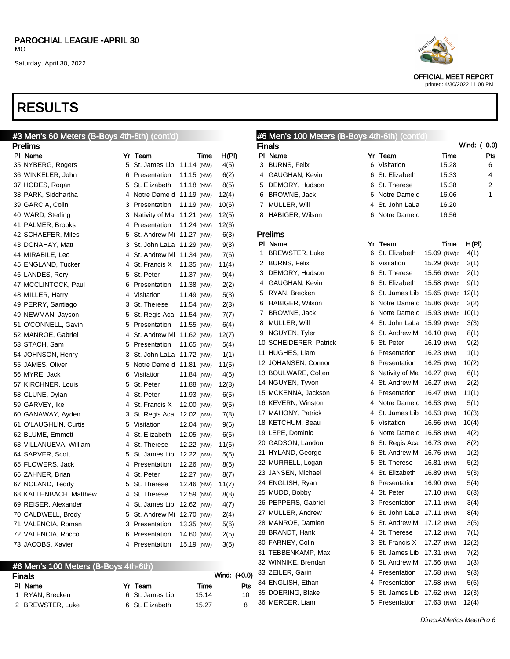### RESULTS

| #3 Men's 60 Meters (B-Boys 4th-6th) (cont'd) |    |                            |            |       | #6 Men's 100 Meters (B-Boys 4th-6th) (cont'd) |                                         |   |                                 |             |              |            |
|----------------------------------------------|----|----------------------------|------------|-------|-----------------------------------------------|-----------------------------------------|---|---------------------------------|-------------|--------------|------------|
| <b>Prelims</b>                               |    |                            |            |       |                                               | <b>Finals</b>                           |   |                                 |             | Wind: (+0.0) |            |
| PI Name                                      |    | Yr Team                    | Time       | H(PI) |                                               | PI Name                                 |   | Yr Team                         | Time        |              | <b>Pts</b> |
| 35 NYBERG, Rogers                            |    | 5 St. James Lib 11.14 (NW) |            | 4(5)  |                                               | 3 BURNS, Felix                          |   | 6 Visitation                    | 15.28       |              | 6          |
| 36 WINKELER, John                            | 6  | Presentation               | 11.15 (NW) | 6(2)  |                                               | 4 GAUGHAN, Kevin                        | 6 | St. Elizabeth                   | 15.33       |              | 4          |
| 37 HODES, Rogan                              | 5. | St. Elizabeth              | 11.18 (NW) | 8(5)  | 5                                             | DEMORY, Hudson                          |   | 6 St. Therese                   | 15.38       |              | 2          |
| 38 PARK, Siddhartha                          |    | 4 Notre Dame d 11.19 (NW)  |            | 12(4) | 6                                             | BROWNE, Jack                            |   | 6 Notre Dame d                  | 16.06       |              | 1          |
| 39 GARCIA, Colin                             | 3  | Presentation               | 11.19 (NW) | 10(6) |                                               | 7 MULLER, Will                          | 4 | St. John LaLa                   | 16.20       |              |            |
| 40 WARD, Sterling                            | 3  | Nativity of Ma 11.21 (NW)  |            | 12(5) |                                               | 8 HABIGER, Wilson                       |   | 6 Notre Dame d                  | 16.56       |              |            |
| 41 PALMER, Brooks                            | 4  | Presentation               | 11.24 (NW) | 12(6) |                                               |                                         |   |                                 |             |              |            |
| 42 SCHAEFER, Miles                           | 5  | St. Andrew Mi 11.27 (NW)   |            | 6(3)  |                                               | <b>Prelims</b>                          |   |                                 |             |              |            |
| 43 DONAHAY, Matt                             | 3  | St. John LaLa 11.29 (NW)   |            | 9(3)  |                                               | PI Name                                 |   | Yr Team                         | <b>Time</b> | <u>H(PI)</u> |            |
| 44 MIRABILE, Leo                             |    | 4 St. Andrew Mi 11.34 (NW) |            | 7(6)  | 1                                             | <b>BREWSTER, Luke</b>                   |   | 6 St. Elizabeth                 | 15.09 (NW)q | 4(1)         |            |
| 45 ENGLAND, Tucker                           |    | 4 St. Francis X 11.35 (NW) |            | 11(4) |                                               | 2 BURNS, Felix                          |   | 6 Visitation                    | 15.29 (NW)q | 3(1)         |            |
| 46 LANDES, Rory                              |    | 5 St. Peter                | 11.37 (NW) | 9(4)  |                                               | 3 DEMORY, Hudson                        | 6 | St. Therese                     | 15.56 (NW)q | 2(1)         |            |
| 47 MCCLINTOCK, Paul                          | 6  | Presentation               | 11.38 (NW) | 2(2)  | 4                                             | GAUGHAN, Kevin                          | 6 | St. Elizabeth                   | 15.58 (NW)q | 9(1)         |            |
| 48 MILLER, Harry                             |    | 4 Visitation               | 11.49 (NW) | 5(3)  | 5                                             | RYAN, Brecken                           | 6 | St. James Lib 15.65 (NW)q 12(1) |             |              |            |
| 49 PERRY, Santiago                           | 3  | St. Therese                | 11.54 (NW) | 2(3)  |                                               | 6 HABIGER, Wilson                       | 6 | Notre Dame d 15.86 (NW)q        |             | 3(2)         |            |
| 49 NEWMAN, Jayson                            | 5  | St. Regis Aca              | 11.54 (NW) | 7(7)  |                                               | 7 BROWNE, Jack                          | 6 | Notre Dame d 15.93 (NW)q        |             | 10(1)        |            |
| 51 O'CONNELL, Gavin                          | 5  | Presentation               | 11.55 (NW) | 6(4)  |                                               | 8 MULLER, Will                          | 4 | St. John LaLa 15.99 (NW)q       |             | 3(3)         |            |
| 52 MANROE, Gabriel                           |    | 4 St. Andrew Mi 11.62 (NW) |            | 12(7) |                                               | 9 NGUYEN, Tyler                         | 6 | St. Andrew Mi 16.10 (NW)        |             | 8(1)         |            |
| 53 STACH, Sam                                | 5  | Presentation               | 11.65 (NW) | 5(4)  |                                               | 10 SCHEIDERER, Patrick                  | 6 | St. Peter                       | 16.19 (NW)  | 9(2)         |            |
| 54 JOHNSON, Henry                            | 3  | St. John LaLa 11.72 (NW)   |            | 1(1)  |                                               | 11 HUGHES, Liam                         | 6 | Presentation                    | 16.23 (NW)  | 1(1)         |            |
| 55 JAMES, Oliver                             | 5  | Notre Dame d 11.81 (NW)    |            | 11(5) |                                               | 12 JOHANSEN, Connor                     | 6 | Presentation                    | 16.25 (NW)  | 10(2)        |            |
| 56 MYRE, Jack                                | 6  | Visitation                 | 11.84 (NW) | 4(6)  |                                               | 13 BOULWARE, Colten                     | 6 | Nativity of Ma 16.27 (NW)       |             | 6(1)         |            |
| 57 KIRCHNER, Louis                           | 5  | St. Peter                  | 11.88 (NW) | 12(8) |                                               | 14 NGUYEN, Tyvon                        | 4 | St. Andrew Mi 16.27 (NW)        |             | 2(2)         |            |
| 58 CLUNE, Dylan                              |    | 4 St. Peter                | 11.93 (NW) | 6(5)  |                                               | 15 MCKENNA, Jackson                     | 6 | Presentation                    | 16.47 (NW)  | 11(1)        |            |
| 59 GARVEY, Ike                               |    | 4 St. Francis X            | 12.00 (NW) | 9(5)  |                                               | 16 KEVERN, Winston                      | 4 | Notre Dame d 16.53 (NW)         |             | 5(1)         |            |
| 60 GANAWAY, Ayden                            |    | 3 St. Regis Aca            | 12.02 (NW) | 7(8)  |                                               | 17 MAHONY, Patrick                      | 4 | St. James Lib 16.53 (NW)        |             | 10(3)        |            |
| 61 O'LAUGHLIN, Curtis                        | 5  | Visitation                 | 12.04 (NW) | 9(6)  |                                               | 18 KETCHUM, Beau                        | 6 | Visitation                      | 16.56 (NW)  | 10(4)        |            |
| 62 BLUME, Emmett                             |    | 4 St. Elizabeth            | 12.05 (NW) | 6(6)  |                                               | 19 LEPE, Dominic                        | 6 | Notre Dame d 16.58 (NW)         |             | 4(2)         |            |
| 63 VILLANUEVA, William                       |    | 4 St. Therese              | 12.22 (NW) | 11(6) |                                               | 20 GADSON, Landon                       | 6 | St. Regis Aca 16.73 (NW)        |             | 8(2)         |            |
| 64 SARVER, Scott                             |    | 5 St. James Lib            | 12.22 (NW) | 5(5)  |                                               | 21 HYLAND, George                       | 6 | St. Andrew Mi 16.76 (NW)        |             | 1(2)         |            |
| 65 FLOWERS, Jack                             |    | 4 Presentation             | 12.26 (NW) | 8(6)  |                                               | 22 MURRELL, Logan                       | 5 | St. Therese                     | 16.81 (NW)  | 5(2)         |            |
| 66 ZAHNER, Brian                             |    | 4 St. Peter                | 12.27 (NW) | 8(7)  |                                               | 23 JANSEN, Michael                      | 4 | St. Elizabeth                   | 16.89 (NW)  | 5(3)         |            |
| 67 NOLAND, Teddy                             |    | 5 St. Therese              | 12.46 (NW) | 11(7) |                                               | 24 ENGLISH, Ryan                        | 6 | Presentation                    | 16.90 (NW)  | 5(4)         |            |
| 68 KALLENBACH, Matthew                       |    | 4 St. Therese              | 12.59 (NW) | 8(8)  |                                               | 25 MUDD, Bobby                          |   | 4 St. Peter                     | 17.10 (NW)  | 8(3)         |            |
| 69 REISER, Alexander                         |    | 4 St. James Lib 12.62 (NW) |            | 4(7)  |                                               | 26 PEPPERS, Gabriel                     |   | 3 Presentation 17.11 (NW)       |             | 3(4)         |            |
| 70 CALDWELL, Brody                           |    | 5 St. Andrew Mi 12.70 (NW) |            | 2(4)  |                                               | 27 MULLER, Andrew                       |   | 6 St. John LaLa 17.11 (NW)      |             | 8(4)         |            |
| 71 VALENCIA, Roman                           |    | 3 Presentation             | 13.35 (NW) | 5(6)  |                                               | 28 MANROE, Damien                       |   | 5 St. Andrew Mi 17.12 (NW)      |             | 3(5)         |            |
| 72 VALENCIA, Rocco                           |    | 6 Presentation             | 14.60 (NW) | 2(5)  |                                               | 28 BRANDT, Hank                         |   | 4 St. Therese                   | 17.12 (NW)  | 7(1)         |            |
| 73 JACOBS, Xavier                            |    | 4 Presentation             | 15.19 (NW) | 3(5)  |                                               | 30 FARNEY, Colin                        |   | 3 St. Francis X 17.27 (NW)      |             | 12(2)        |            |
|                                              |    |                            |            |       |                                               | 31 TEBBENKAMP, Max                      |   | 6 St. James Lib 17.31 (NW)      |             | 7(2)         |            |
| #6 Men's 100 Meters (B-Boys 4th-6th)         |    |                            |            |       |                                               | 32 WINNIKE, Brendan                     |   | 6 St. Andrew Mi 17.56 (NW)      |             | 1(3)         |            |
| Einele                                       |    |                            |            |       |                                               | Wind: $(40 \text{ N})$ 33 ZEILER, Garin |   | 4 Presentation 17.58 (NW)       |             | 9(3)         |            |

### Finals Wind: (+0.0) PI Name **Product Product Product Product Product** Product Product Product Product Product Product Product Product Product Product Product Product Product Product Product Product Product Product Product Product Product Prod 1 RYAN, Brecken 6 St. James Lib 15.14 10 2 BREWSTER, Luke 6 St. Elizabeth 15.27 8 34 ENGLISH, Ethan 4 Presentation 17.58 (NW) 5(5) DOERING, Blake 5 St. James Lib 17.62 (NW) 12(3) MERCER, Liam 5 Presentation 17.63 (NW) 12(4)



OFFICIAL MEET REPORT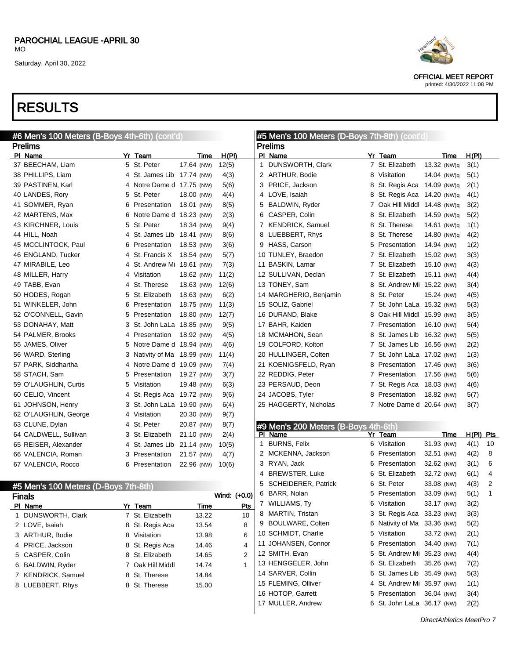OFFICIAL MEET REPORT printed: 4/30/2022 11:08 PM

### RESULTS

| #6 Men's 100 Meters (B-Boys 4th-6th) (cont'd) |                               |            |              | #5 Men's 100 Meters (D-Boys 7th-8th) (cont'd) |   |                              |             |             |                |  |
|-----------------------------------------------|-------------------------------|------------|--------------|-----------------------------------------------|---|------------------------------|-------------|-------------|----------------|--|
| <b>Prelims</b>                                |                               |            |              | <b>Prelims</b>                                |   |                              |             |             |                |  |
| PI Name                                       | Yr Team                       | Time       | H(PI)        | PI Name                                       |   | Yr Team                      | Time        | H(PI)       |                |  |
| 37 BEECHAM, Liam                              | 5 St. Peter                   | 17.64 (NW) | 12(5)        | DUNSWORTH, Clark<br>1                         |   | 7 St. Elizabeth              | 13.32 (NW)q | 3(1)        |                |  |
| 38 PHILLIPS, Liam                             | 4 St. James Lib 17.74 (NW)    |            | 4(3)         | 2 ARTHUR, Bodie                               |   | 8 Visitation                 | 14.04 (NW)q | 5(1)        |                |  |
| 39 PASTINEN, Karl                             | 4 Notre Dame d 17.75 (NW)     |            | 5(6)         | 3 PRICE, Jackson                              |   | 8 St. Regis Aca              | 14.09 (NW)q | 2(1)        |                |  |
| 40 LANDES, Rory                               | 5 St. Peter                   | 18.00 (NW) | 4(4)         | 4 LOVE, Isaiah                                |   | 8 St. Regis Aca 14.20 (NW)q  |             | 4(1)        |                |  |
| 41 SOMMER, Ryan                               | 6 Presentation                | 18.01 (NW) | 8(5)         | 5 BALDWIN, Ryder                              |   | 7 Oak Hill Middl 14.48 (NW)q |             | 3(2)        |                |  |
| 42 MARTENS, Max                               | 6 Notre Dame d 18.23 (NW)     |            | 2(3)         | 6 CASPER, Colin                               | 8 | St. Elizabeth                | 14.59 (NW)q | 5(2)        |                |  |
| 43 KIRCHNER, Louis                            | St. Peter<br>5                | 18.34 (NW) | 9(4)         | 7 KENDRICK, Samuel                            |   | 8 St. Therese                | 14.61 (NW)q | 1(1)        |                |  |
| 44 HILL, Noah                                 | St. James Lib 18.41 (NW)<br>4 |            | 8(6)         | 8 LUEBBERT, Rhys                              |   | 8 St. Therese                | 14.80 (NW)q | 4(2)        |                |  |
| 45 MCCLINTOCK, Paul                           | Presentation<br>6             | 18.53 (NW) | 3(6)         | 9 HASS, Carson                                |   | 5 Presentation               | 14.94 (NW)  | 1(2)        |                |  |
| 46 ENGLAND, Tucker                            | St. Francis X<br>4            | 18.54 (NW) | 5(7)         | 10 TUNLEY, Braedon                            |   | 7 St. Elizabeth              | 15.02 (NW)  | 3(3)        |                |  |
| 47 MIRABILE, Leo                              | St. Andrew Mi 18.61 (NW)<br>4 |            | 7(3)         | 11 BASKIN, Lamar                              |   | 7 St. Elizabeth              | 15.10 (NW)  | 4(3)        |                |  |
| 48 MILLER, Harry                              | Visitation<br>4               | 18.62 (NW) | 11(2)        | 12 SULLIVAN, Declan                           |   | 7 St. Elizabeth              | 15.11 (NW)  | 4(4)        |                |  |
| 49 TABB, Evan                                 | St. Therese<br>4              | 18.63 (NW) | 12(6)        | 13 TONEY, Sam                                 |   | 8 St. Andrew Mi 15.22 (NW)   |             | 3(4)        |                |  |
| 50 HODES, Rogan                               | 5<br>St. Elizabeth            | 18.63 (NW) | 6(2)         | 14 MARGHERIO, Benjamin                        |   | 8 St. Peter                  | 15.24 (NW)  | 4(5)        |                |  |
| 51 WINKELER, John                             | 6<br>Presentation             | 18.75 (NW) | 11(3)        | 15 SOLIZ, Gabriel                             |   | 7 St. John LaLa 15.32 (NW)   |             | 5(3)        |                |  |
| 52 O'CONNELL, Gavin                           | 5 Presentation                | 18.80 (NW) | 12(7)        | 16 DURAND, Blake                              |   | 8 Oak Hill Middl 15.99 (NW)  |             | 3(5)        |                |  |
| 53 DONAHAY, Matt                              | St. John LaLa 18.85 (NW)<br>3 |            | 9(5)         | 17 BAHR, Kaiden                               |   | 7 Presentation               | 16.10 (NW)  | 5(4)        |                |  |
| 54 PALMER, Brooks                             | Presentation<br>4             | 18.92 (NW) | 4(5)         | 18 MCMAHON, Sean                              |   | 8 St. James Lib              | 16.32 (NW)  | 5(5)        |                |  |
| 55 JAMES, Oliver                              | 5 Notre Dame d 18.94 (NW)     |            | 4(6)         | 19 COLFORD, Kolton                            |   | 7 St. James Lib 16.56 (NW)   |             | 2(2)        |                |  |
| 56 WARD, Sterling                             | 3 Nativity of Ma 18.99 (NW)   |            | 11(4)        | 20 HULLINGER, Colten                          |   | 7 St. John LaLa 17.02 (NW)   |             | 1(3)        |                |  |
| 57 PARK, Siddhartha                           | 4 Notre Dame d 19.09 (NW)     |            | 7(4)         | 21 KOENIGSFELD, Ryan                          |   | 8 Presentation               | 17.46 (NW)  | 3(6)        |                |  |
| 58 STACH, Sam                                 | 5 Presentation                | 19.27 (NW) | 3(7)         | 22 REDDIG, Peter                              |   | 7 Presentation               | 17.56 (NW)  | 5(6)        |                |  |
| 59 O'LAUGHLIN, Curtis                         | 5 Visitation                  | 19.48 (NW) | 6(3)         | 23 PERSAUD, Deon                              |   | 7 St. Regis Aca              | 18.03 (NW)  | 4(6)        |                |  |
| 60 CELIO, Vincent                             | 4 St. Regis Aca 19.72 (NW)    |            | 9(6)         | 24 JACOBS, Tyler                              |   | 8 Presentation               | 18.82 (NW)  | 5(7)        |                |  |
| 61 JOHNSON, Henry                             | 3 St. John LaLa 19.90 (NW)    |            | 6(4)         | 25 HAGGERTY, Nicholas                         |   | 7 Notre Dame d 20.64 (NW)    |             | 3(7)        |                |  |
| 62 O'LAUGHLIN, George                         | 4 Visitation                  | 20.30 (NW) | 9(7)         |                                               |   |                              |             |             |                |  |
| 63 CLUNE, Dylan                               | St. Peter<br>4                | 20.87 (NW) | 8(7)         | #9 Men's 200 Meters (B-Boys 4th-6th)          |   |                              |             |             |                |  |
| 64 CALDWELL, Sullivan                         | 3 St. Elizabeth               | 21.10 (NW) | 2(4)         | PI Name                                       |   | Yr Team                      | <b>Time</b> | $H(PI)$ Pts |                |  |
| 65 REISER, Alexander                          | St. James Lib 21.14 (NW)<br>4 |            | 10(5)        | <b>BURNS, Felix</b>                           |   | 6 Visitation                 | 31.93 (NW)  | 4(1)        | 10             |  |
| 66 VALENCIA, Roman                            | 3 Presentation                | 21.57 (NW) | 4(7)         | 2 MCKENNA, Jackson                            |   | 6 Presentation               | 32.51 (NW)  | 4(2)        | 8              |  |
| 67 VALENCIA, Rocco                            | 6 Presentation                | 22.96 (NW) | 10(6)        | 3 RYAN, Jack                                  |   | 6 Presentation               | 32.62 (NW)  | 3(1)        | 6              |  |
|                                               |                               |            |              | <b>BREWSTER, Luke</b><br>4                    |   | 6 St. Elizabeth              | 32.72 (NW)  | 6(1)        | 4              |  |
| #5 Men's 100 Meters (D-Boys 7th-8th)          |                               |            |              | 5<br><b>SCHEIDERER, Patrick</b>               |   | 6 St. Peter                  | 33.08 (NW)  | 4(3)        | $\overline{2}$ |  |
| <b>Finals</b>                                 |                               |            | Wind: (+0.0) | 6 BARR, Nolan                                 |   | 5 Presentation               | 33.09 (NW)  | 5(1)        | -1             |  |
| PI Name                                       | Yr Team                       | Time       | <b>Pts</b>   | 7 WILLIAMS, Ty                                |   | 6 Visitation                 | 33.17 (NW)  | 3(2)        |                |  |

| <b>Finals</b>      |                  |       | Wind: $(+0.0)$ |             | 6 BARR, Nolan       |
|--------------------|------------------|-------|----------------|-------------|---------------------|
| PI Name            | Yr Team          | Time  | Pts            | $7^{\circ}$ | <b>WILLIAMS, Ty</b> |
| 1 DUNSWORTH, Clark | 7 St. Elizabeth  | 13.22 | 10             |             | 8 MARTIN, Tristan   |
| 2 LOVE, Isaiah     | 8 St. Regis Aca  | 13.54 | 8              |             | 9 BOULWARE, Colte   |
| 3 ARTHUR, Bodie    | 8 Visitation     | 13.98 | 6              |             | 10 SCHMIDT, Charlie |
| 4 PRICE, Jackson   | 8 St. Regis Aca  | 14.46 | 4              |             | 11 JOHANSEN, Conn   |
| 5 CASPER, Colin    | 8 St. Elizabeth  | 14.65 | $\overline{2}$ |             | 12 SMITH, Evan      |
| 6 BALDWIN, Ryder   | 7 Oak Hill Middl | 14.74 | 1              |             | 13 HENGGELER, Joh   |
| 7 KENDRICK, Samuel | 8 St. Therese    | 14.84 |                |             | 14 SARVER, Collin   |
| 8 LUEBBERT, Rhys   | 8 St. Therese    | 15.00 |                |             | 15 FLEMING, Olliver |
|                    |                  |       |                |             | 16 HOTOP, Garrett   |

| 9 BOULWARE, Colten  | 6 Nativity of Ma 33.36 (NW) |            | 5(2) |
|---------------------|-----------------------------|------------|------|
| 10 SCHMIDT, Charlie | 5 Visitation                | 33.72 (NW) | 2(1) |
| 11 JOHANSEN, Connor | 6 Presentation              | 34.40 (NW) | 7(1) |
| 12 SMITH, Evan      | 5 St. Andrew Mi 35.23 (NW)  |            | 4(4) |
| 13 HENGGELER, John  | 6 St. Elizabeth 35.26 (NW)  |            | 7(2) |
| 14 SARVER, Collin   | 6 St. James Lib 35.49 (NW)  |            | 5(3) |
| 15 FLEMING, Olliver | 4 St. Andrew Mi 35.97 (NW)  |            | 1(1) |
| 16 HOTOP, Garrett   | 5 Presentation 36.04 (NW)   |            | 3(4) |
| 17 MULLER, Andrew   | 6 St. John LaLa 36.17 (NW)  |            | 2(2) |
|                     |                             |            |      |

8 MARTIN, Tristan 3 St. Regis Aca 33.23 (NW) 3(3)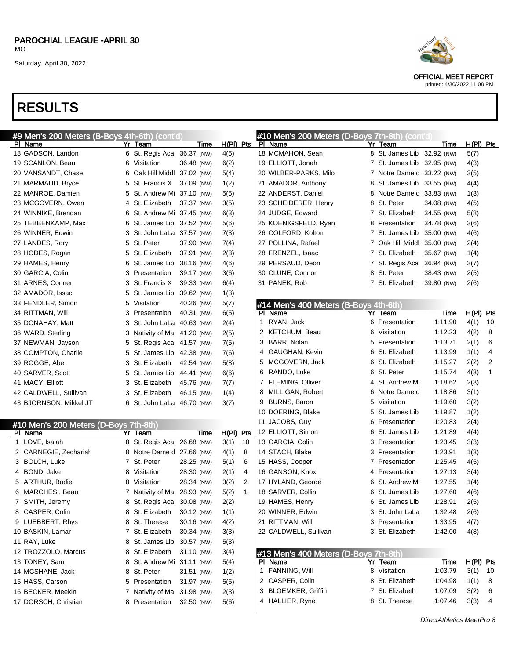# RESULTS

|  | #9 Men's 200 Meters (B-Boys 4th-6th)  | (cont'd)                    |             |             |                | #10 Men's 200 Meters (D-Boys 7th-8th) (cont'd |                             |             |                  |                |
|--|---------------------------------------|-----------------------------|-------------|-------------|----------------|-----------------------------------------------|-----------------------------|-------------|------------------|----------------|
|  | PI Name                               | Yr Team                     | Time        | $H(PI)$ Pts |                | PI Name                                       | Yr Team                     | <u>Time</u> | <u>H(PI) Pts</u> |                |
|  | 18 GADSON, Landon                     | 6 St. Regis Aca 36.37 (NW)  |             | 4(5)        |                | 18 MCMAHON, Sean                              | 8 St. James Lib 32.92 (NW)  |             | 5(7)             |                |
|  | 19 SCANLON, Beau                      | 6 Visitation                | 36.48 (NW)  | 6(2)        |                | 19 ELLIOTT, Jonah                             | 7 St. James Lib 32.95 (NW)  |             | 4(3)             |                |
|  | 20 VANSANDT, Chase                    | 6 Oak Hill Middl 37.02 (NW) |             | 5(4)        |                | 20 WILBER-PARKS, Milo                         | 7 Notre Dame d 33.22 (NW)   |             | 3(5)             |                |
|  | 21 MARMAUD, Bryce                     | 5 St. Francis X 37.09 (NW)  |             | 1(2)        |                | 21 AMADOR, Anthony                            | 8 St. James Lib 33.55 (NW)  |             | 4(4)             |                |
|  | 22 MANROE, Damien                     | 5 St. Andrew Mi 37.10 (NW)  |             | 5(5)        |                | 22 ANDERST, Daniel                            | 8 Notre Dame d 33.83 (NW)   |             | 1(3)             |                |
|  | 23 MCGOVERN, Owen                     | 4 St. Elizabeth             | 37.37 (NW)  | 3(5)        |                | 23 SCHEIDERER, Henry                          | 8 St. Peter                 | 34.08 (NW)  | 4(5)             |                |
|  | 24 WINNIKE, Brendan                   | 6 St. Andrew Mi 37.45 (NW)  |             | 6(3)        |                | 24 JUDGE, Edward                              | 7 St. Elizabeth             | 34.55 (NW)  | 5(8)             |                |
|  | 25 TEBBENKAMP, Max                    | 6 St. James Lib 37.52 (NW)  |             | 5(6)        |                | 25 KOENIGSFELD, Ryan                          | 8 Presentation              | 34.78 (NW)  | 3(6)             |                |
|  | 26 WINNER, Edwin                      | 3 St. John LaLa 37.57 (NW)  |             | 7(3)        |                | 26 COLFORD, Kolton                            | 7 St. James Lib 35.00 (NW)  |             | 4(6)             |                |
|  | 27 LANDES, Rory                       | 5 St. Peter                 | 37.90 (NW)  | 7(4)        |                | 27 POLLINA, Rafael                            | 7 Oak Hill Middl 35.00 (NW) |             | 2(4)             |                |
|  | 28 HODES, Rogan                       | 5 St. Elizabeth             | 37.91 (NW)  | 2(3)        |                | 28 FRENZEL, Isaac                             | 7 St. Elizabeth             | 35.67 (NW)  | 1(4)             |                |
|  | 29 HAMES, Henry                       | 6 St. James Lib             | 38.16 (NW)  | 4(6)        |                | 29 PERSAUD, Deon                              | 7 St. Regis Aca             | 36.94 (NW)  | 3(7)             |                |
|  | 30 GARCIA, Colin                      | 3 Presentation              | 39.17 (NW)  | 3(6)        |                | 30 CLUNE, Connor                              | 8 St. Peter                 | 38.43 (NW)  | 2(5)             |                |
|  | 31 ARNES, Conner                      | 3 St. Francis X             | 39.33 (NW)  | 6(4)        |                | 31 PANEK, Rob                                 | 7 St. Elizabeth             | 39.80 (NW)  | 2(6)             |                |
|  | 32 AMADOR, Issac                      | 5 St. James Lib             | 39.62 (NW)  | 1(3)        |                |                                               |                             |             |                  |                |
|  | 33 FENDLER, Simon                     | 5 Visitation                | 40.26 (NW)  | 5(7)        |                | #14 Men's 400 Meters (B-Boys 4th-6th)         |                             |             |                  |                |
|  | 34 RITTMAN, Will                      | 3 Presentation              | 40.31 (NW)  | 6(5)        |                | PI Name                                       | Yr Team                     | <u>Time</u> | <u>H(PI) Pts</u> |                |
|  | 35 DONAHAY, Matt                      | 3 St. John LaLa 40.63 (NW)  |             | 2(4)        |                | 1 RYAN, Jack                                  | 6 Presentation              | 1:11.90     | 4(1)             | 10             |
|  | 36 WARD, Sterling                     | 3 Nativity of Ma 41.20 (NW) |             | 2(5)        |                | 2 KETCHUM, Beau                               | 6 Visitation                | 1:12.23     | 4(2)             | 8              |
|  | 37 NEWMAN, Jayson                     | 5 St. Regis Aca 41.57 (NW)  |             | 7(5)        |                | 3 BARR, Nolan                                 | 5 Presentation              | 1:13.71     | 2(1)             | 6              |
|  | 38 COMPTON, Charlie                   | 5 St. James Lib 42.38 (NW)  |             | 7(6)        |                | 4 GAUGHAN, Kevin                              | 6 St. Elizabeth             | 1:13.99     | 1(1)             | 4              |
|  | 39 ROGGE, Abe                         | 3 St. Elizabeth             | 42.54 (NW)  | 5(8)        |                | 5 MCGOVERN, Jack                              | 6 St. Elizabeth             | 1:15.27     | 2(2)             | $\overline{2}$ |
|  | 40 SARVER, Scott                      | 5 St. James Lib             | 44.41 (NW)  | 6(6)        |                | 6 RANDO, Luke                                 | 6 St. Peter                 | 1:15.74     | 4(3)             | 1              |
|  | 41 MACY, Elliott                      | 3 St. Elizabeth             | 45.76 (NW)  | 7(7)        |                | 7 FLEMING, Olliver                            | 4 St. Andrew Mi             | 1:18.62     | 2(3)             |                |
|  | 42 CALDWELL, Sullivan                 | 3 St. Elizabeth             | 46.15 (NW)  | 1(4)        |                | 8 MILLIGAN, Robert                            | 6 Notre Dame d              | 1:18.86     | 3(1)             |                |
|  | 43 BJORNSON, Mikkel JT                | 6 St. John LaLa 46.70 (NW)  |             | 3(7)        |                | 9 BURNS, Baron                                | 5 Visitation                | 1:19.60     | 3(2)             |                |
|  |                                       |                             |             |             |                | 10 DOERING, Blake                             | 5 St. James Lib             | 1:19.87     | 1(2)             |                |
|  | #10 Men's 200 Meters (D-Boys 7th-8th) |                             |             |             |                | 11 JACOBS, Guy                                | 6 Presentation              | 1:20.83     | 2(4)             |                |
|  | <b>PI Name</b>                        | Yr Team                     | <u>Time</u> | H(PI) Pts   |                | 12 ELLIOTT, Simon                             | 6 St. James Lib             | 1:21.89     | 4(4)             |                |
|  | 1 LOVE, Isaiah                        | 8 St. Regis Aca 26.68 (NW)  |             | 3(1)        | 10             | 13 GARCIA, Colin                              | 3 Presentation              | 1:23.45     | 3(3)             |                |
|  | 2 CARNEGIE, Zechariah                 | 8 Notre Dame d 27.66 (NW)   |             | 4(1)        | 8              | 14 STACH, Blake                               | 3 Presentation              | 1:23.91     | 1(3)             |                |
|  | 3 BOLCH, Luke                         | 7 St. Peter                 | 28.25 (NW)  | 5(1)        | 6              | 15 HASS, Cooper                               | 7 Presentation              | 1:25.45     | 4(5)             |                |
|  | 4 BOND, Jake                          | 8 Visitation                | 28.30 (NW)  | 2(1)        | 4              | 16 GANSON, Knox                               | 4 Presentation              | 1:27.13     | 3(4)             |                |
|  | 5 ARTHUR, Bodie                       | 8 Visitation                | 28.34 (NW)  | 3(2)        | $\overline{2}$ | 17 HYLAND, George                             | 6 St. Andrew Mi             | 1:27.55     | 1(4)             |                |
|  | 6 MARCHESI, Beau                      | 7 Nativity of Ma            | 28.93 (NW)  | 5(2)        | -1             | 18 SARVER, Collin                             | 6 St. James Lib             | 1:27.60     | 4(6)             |                |
|  | 7 SMITH, Jeremy                       | 8 St. Regis Aca             | 30.08 (NW)  | 2(2)        |                | 19 HAMES, Henry                               | 6 St. James Lib             | 1:28.91     | 2(5)             |                |
|  | 8 CASPER, Colin                       | 8 St. Elizabeth             | 30.12 (NW)  | 1(1)        |                | 20 WINNER, Edwin                              | 3 St. John LaLa             | 1:32.48     | 2(6)             |                |
|  | 9 LUEBBERT, Rhys                      | 8 St. Therese               | 30.16 (NW)  | 4(2)        |                | 21 RITTMAN, Will                              | 3 Presentation              | 1:33.95     | 4(7)             |                |
|  | 10 BASKIN, Lamar                      | 7 St. Elizabeth             | 30.34 (NW)  | 3(3)        |                | 22 CALDWELL, Sullivan                         | 3 St. Elizabeth             | 1:42.00     | 4(8)             |                |
|  | 11 RAY, Luke                          | 8 St. James Lib             | 30.57 (NW)  | 5(3)        |                |                                               |                             |             |                  |                |
|  | 12 TROZZOLO, Marcus                   | 8 St. Elizabeth             | 31.10 (NW)  | 3(4)        |                | #13 Men's 400 Meters (D-Boys 7th-8th)         |                             |             |                  |                |
|  | 13 TONEY, Sam                         | 8 St. Andrew Mi 31.11 (NW)  |             | 5(4)        |                | PI Name                                       | Yr Team                     | Time        | H(PI) Pts        |                |
|  | 14 MCSHANE, Jack                      | 8 St. Peter                 | 31.51 (NW)  | 1(2)        |                | FANNING, Will<br>$\mathbf{1}$                 | 8 Visitation                | 1:03.79     | $3(1)$ 10        |                |
|  | 15 HASS, Carson                       | 5 Presentation              | 31.97 (NW)  | 5(5)        |                | 2 CASPER, Colin                               | 8 St. Elizabeth             | 1:04.98     | 1(1)             | $_{8}$         |
|  | 16 BECKER, Meekin                     | 7 Nativity of Ma            | 31.98 (NW)  | 2(3)        |                | <b>BLOEMKER, Griffin</b><br>3                 | 7 St. Elizabeth             | 1:07.09     | 3(2)             | 6              |
|  | 17 DORSCH, Christian                  | 8 Presentation              | 32.50 (NW)  | 5(6)        |                | 4 HALLIER, Ryne                               | 8 St. Therese               | 1:07.46     | 3(3)             | $\overline{4}$ |
|  |                                       |                             |             |             |                |                                               |                             |             |                  |                |



OFFICIAL MEET REPORT

|  | printed: 4/30/2022 11:08 PM |  |
|--|-----------------------------|--|
|  |                             |  |

|   | 19 ELLIOTT, Jonah                     | 7 St. James Lib             | 32.95 (NW)  | 4(3)      |    |
|---|---------------------------------------|-----------------------------|-------------|-----------|----|
|   | 20 WILBER-PARKS, Milo                 | 7 Notre Dame d 33.22 (NW)   |             | 3(5)      |    |
|   | 21 AMADOR, Anthony                    | 8 St. James Lib 33.55 (NW)  |             | 4(4)      |    |
|   | 22 ANDERST, Daniel                    | 8 Notre Dame d 33.83 (NW)   |             | 1(3)      |    |
|   | 23 SCHEIDERER, Henry                  | 8 St. Peter                 | 34.08 (NW)  | 4(5)      |    |
|   | 24 JUDGE, Edward                      | 7 St. Elizabeth             | 34.55 (NW)  | 5(8)      |    |
|   | 25 KOENIGSFELD, Ryan                  | 8 Presentation              | 34.78 (NW)  | 3(6)      |    |
|   | 26 COLFORD, Kolton                    | 7 St. James Lib             | 35.00 (NW)  | 4(6)      |    |
|   | 27 POLLINA, Rafael                    | 7 Oak Hill Middl 35.00 (NW) |             | 2(4)      |    |
|   | 28 FRENZEL, Isaac                     | 7 St. Elizabeth             | 35.67 (NW)  | 1(4)      |    |
|   | 29 PERSAUD, Deon                      | 7 St. Regis Aca             | 36.94 (NW)  | 3(7)      |    |
|   | 30 CLUNE, Connor                      | 8 St. Peter                 | 38.43 (NW)  | 2(5)      |    |
|   | 31 PANEK, Rob                         | 7 St. Elizabeth             | 39.80 (NW)  | 2(6)      |    |
|   |                                       |                             |             |           |    |
|   | #14 Men's 400 Meters (B-Boys 4th-6th) |                             |             |           |    |
|   | PI Name                               | Yr Team                     | <u>Time</u> | H(PI) Pts |    |
| 1 | RYAN, Jack                            | 6 Presentation              | 1:11.90     | 4(1)      | 10 |
|   | 2 KETCHUM, Beau                       | 6 Visitation                | 1:12.23     | 4(2)      | 8  |
| 3 | BARR, Nolan                           | 5 Presentation              | 1:13.71     | 2(1)      | 6  |
| 4 | GAUGHAN, Kevin                        | 6 St. Elizabeth             | 1:13.99     | 1(1)      | 4  |
|   | 5 MCGOVERN, Jack                      | 6 St. Elizabeth             | 1:15.27     | 2(2)      | 2  |
|   | 6 RANDO, Luke                         | 6 St. Peter                 | 1:15.74     | 4(3)      | 1  |
| 7 | <b>FLEMING, Olliver</b>               | 4 St. Andrew Mi             | 1:18.62     | 2(3)      |    |
| 8 | MILLIGAN, Robert                      | 6 Notre Dame d              | 1:18.86     | 3(1)      |    |
|   | 9 BURNS, Baron                        | 5 Visitation                | 1:19.60     | 3(2)      |    |
|   | 10 DOERING, Blake                     | 5 St. James Lib             | 1:19.87     | 1(2)      |    |
|   | 11 JACOBS, Guy                        | 6 Presentation              | 1:20.83     | 2(4)      |    |
|   | 12 ELLIOTT, Simon                     | 6 St. James Lib             | 1:21.89     | 4(4)      |    |
|   | 13 GARCIA, Colin                      | 3 Presentation              | 1:23.45     | 3(3)      |    |
|   | 14 STACH, Blake                       | 3 Presentation              | 1:23.91     | 1(3)      |    |
|   | 15 HASS, Cooper                       | 7 Presentation              | 1:25.45     | 4(5)      |    |
|   | 16 GANSON, Knox                       | 4 Presentation              | 1:27.13     | 3(4)      |    |
|   | 17 HYLAND, George                     | 6 St. Andrew Mi             | 1:27.55     | 1(4)      |    |
|   | 18 SARVER, Collin                     | 6 St. James Lib             | 1:27.60     | 4(6)      |    |
|   | 19 HAMES, Henry                       | 6 St. James Lib             | 1:28.91     | 2(5)      |    |
|   | 20 WINNER, Edwin                      | 3 St. John LaLa             | 1:32.48     | 2(6)      |    |
|   | 21 RITTMAN, Will                      | 3 Presentation              | 1:33.95     | 4(7)      |    |
|   | 22 CALDWELL, Sullivan                 | 3 St. Elizabeth             | 1:42.00     | 4(8)      |    |
|   |                                       |                             |             |           |    |
|   | #13 Men's 400 Meters (D-Boys 7th-8th) |                             |             |           |    |
|   | PI Name                               | Yr Team                     | <u>Time</u> | H(PI) Pts |    |
| 1 | FANNING, Will                         | 8 Visitation                | 1:03.79     | 3(1)      | 10 |
| 2 | CASPER, Colin                         | 8 St. Elizabeth             | 1:04.98     | 1(1)      | 8  |
| 3 | <b>BLOEMKER, Griffin</b>              | 7 St. Elizabeth             | 1:07.09     | 3(2)      | 6  |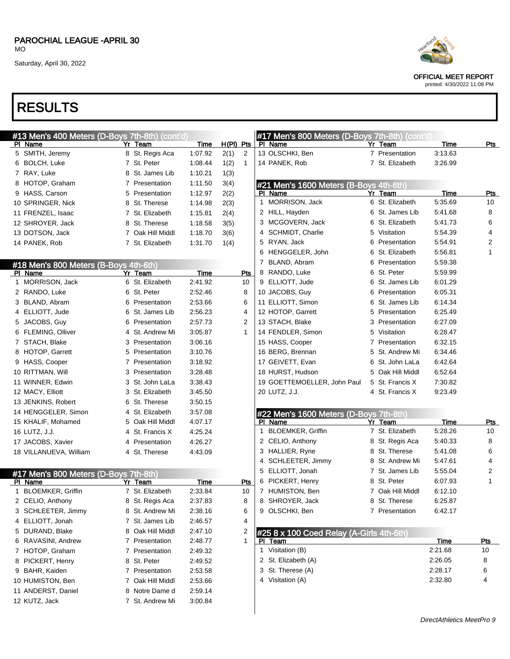# RESULTS

| #13 Men's 400 Meters (D-Boys 7th-8th) (cont'd)<br><b>PI Name</b> | Yr Team          | Time        | $H(PI)$ Pts    | #17 Men's 8<br>PI Name          |
|------------------------------------------------------------------|------------------|-------------|----------------|---------------------------------|
| 5 SMITH, Jeremy                                                  | 8 St. Regis Aca  | 1:07.92     | 2(1)<br>2      | 13 OLSCHKI, E                   |
| 6 BOLCH, Luke                                                    | 7 St. Peter      | 1:08.44     | 1<br>1(2)      | 14 PANEK, Ro                    |
| 7 RAY, Luke                                                      | 8 St. James Lib  | 1:10.21     | 1(3)           |                                 |
| 8 HOTOP, Graham                                                  | 7 Presentation   | 1:11.50     | 3(4)           | #21 Men's 1                     |
| 9 HASS, Carson                                                   | 5 Presentation   | 1:12.97     | 2(2)           | PI_Name                         |
| 10 SPRINGER, Nick                                                | 8 St. Therese    | 1:14.98     | 2(3)           | $\mathbf{1}$<br><b>MORRISON</b> |
| 11 FRENZEL, Isaac                                                | 7 St. Elizabeth  | 1:15.81     | 2(4)           | 2 HILL, Hayde                   |
| 12 SHROYER, Jack                                                 | 8 St. Therese    | 1:18.58     | 3(5)           | 3 MCGOVER                       |
| 13 DOTSON, Jack                                                  | 7 Oak Hill Middl | 1:18.70     | 3(6)           | SCHMIDT,<br>4                   |
| 14 PANEK, Rob                                                    | 7 St. Elizabeth  | 1:31.70     | 1(4)           | 5 RYAN, Jack                    |
|                                                                  |                  |             |                | 6 HENGGELE                      |
| #18 Men's 800 Meters (B-Boys 4th-6th)                            |                  |             |                | BLAND, Ab<br>7                  |
| <b>PI Name</b>                                                   | Yr Team          | Time        | Pts            | 8 RANDO, Lu                     |
| 1 MORRISON, Jack                                                 | 6 St. Elizabeth  | 2:41.92     | 10             | 9 ELLIOTT, JI                   |
| 2 RANDO, Luke                                                    | 6 St. Peter      | 2:52.46     | 8              | 10 JACOBS, G                    |
| 3 BLAND, Abram                                                   | 6 Presentation   | 2:53.66     | 6              | 11 ELLIOTT, S                   |
| 4 ELLIOTT, Jude                                                  | 6 St. James Lib  | 2:56.23     | 4              | 12 HOTOP, Ga                    |
| 5 JACOBS, Guy                                                    | 6 Presentation   | 2:57.73     | $\overline{2}$ | 13 STACH, Bla                   |
| 6 FLEMING, Olliver                                               | 4 St. Andrew Mi  | 3:05.87     | 1              | 14 FENDLER,                     |
| 7 STACH, Blake                                                   | 3 Presentation   | 3:06.16     |                | 15 HASS, Coop                   |
| 8 HOTOP, Garrett                                                 | 5 Presentation   | 3:10.76     |                | 16 BERG, Brer                   |
| 9 HASS, Cooper                                                   | 7 Presentation   | 3:18.92     |                | 17 GEIVETT, E                   |
| 10 RITTMAN, Will                                                 | 3 Presentation   | 3:28.48     |                | 18 HURST, Hu                    |
| 11 WINNER, Edwin                                                 | 3 St. John LaLa  | 3:38.43     |                | 19 GOETTEM                      |
| 12 MACY, Elliott                                                 | 3 St. Elizabeth  | 3:45.50     |                | 20 LUTZ, J.J.                   |
| 13 JENKINS, Robert                                               | 6 St. Therese    | 3:50.15     |                |                                 |
| 14 HENGGELER, Simon                                              | 4 St. Elizabeth  | 3:57.08     |                | #22 Men's 1                     |
| 15 KHALIF, Mohamed                                               | 5 Oak Hill Middl | 4:07.17     |                | Name<br>PI.                     |
| 16 LUTZ, J.J.                                                    | 4 St. Francis X  | 4:25.24     |                | <b>BLOEMKEF</b><br>1            |
| 17 JACOBS, Xavier                                                | 4 Presentation   | 4:26.27     |                | 2 CELIO, Antl                   |
| 18 VILLANUEVA, William                                           | 4 St. Therese    | 4:43.09     |                | 3 HALLIER, R                    |
|                                                                  |                  |             |                | 4<br><b>SCHLEETE</b>            |
| #17 Men's 800 Meters (D-Boys 7th-8th)                            |                  |             |                | 5<br>ELLIOTT, J                 |
| PI Name                                                          | Yr Team          | <b>Time</b> | Pts            | 6 PICKERT, H                    |
| 1 BLOEMKER, Griffin                                              | 7 St. Elizabeth  | 2:33.84     | 10             | 7 HUMISTON                      |
| 2 CELIO, Anthony                                                 | 8 St. Regis Aca  | 2:37.83     | 8              | SHROYER,<br>8                   |
| 3 SCHLEETER, Jimmy                                               | 8 St. Andrew Mi  | 2:38.16     | 6              | 9 OLSCHKI, E                    |
| 4 ELLIOTT, Jonah                                                 | 7 St. James Lib  | 2:46.57     | 4              |                                 |
| 5 DURAND, Blake                                                  | 8 Oak Hill Middl | 2:47.10     | 2              | #25 8 x 100                     |
| 6 RAVASINI, Andrew                                               | 7 Presentation   | 2:48.77     | 1              | PI<br><u>Team</u>               |
| 7 HOTOP, Graham                                                  | 7 Presentation   | 2:49.32     |                | Visitation (B<br>1              |
| PICKERT, Henry<br>8                                              | 8 St. Peter      | 2:49.52     |                | St. Elizabetl<br>2              |
| 9 BAHR, Kaiden                                                   | 7 Presentation   | 2:53.58     |                | St. Therese<br>3                |
| 10 HUMISTON, Ben                                                 | 7 Oak Hill Middl | 2:53.66     |                | 4 Visitation (A                 |
| 11 ANDERST, Daniel                                               | 8 Notre Dame d   | 2:59.14     |                |                                 |
| 12 KUTZ, Jack                                                    | 7 St. Andrew Mi  | 3:00.84     |                |                                 |
|                                                                  |                  |             |                |                                 |

OFFICIAL MEET REPORT

|    | #17 Men's 800 Meters (D-Boys 7th-8th) (cont'd)<br>PI Name |                | Yr Team          | <u>Time</u> | Pts |
|----|-----------------------------------------------------------|----------------|------------------|-------------|-----|
|    | 13 OLSCHKI, Ben                                           |                | 7 Presentation   | 3:13.63     |     |
|    | 14 PANEK, Rob                                             | 7              | St. Elizabeth    | 3:26.99     |     |
|    |                                                           |                |                  |             |     |
|    | #21 Men's 1600 Meters (B-Boys 4th-6th)                    |                |                  |             |     |
| PI | Name                                                      |                | Yr Team          | Time        | Pts |
| 1  | MORRISON, Jack                                            |                | 6 St. Elizabeth  | 5:35.69     | 10  |
| 2  | HILL, Hayden                                              |                | 6 St. James Lib  | 5:41.68     | 8   |
| 3  | MCGOVERN, Jack                                            |                | 6 St. Elizabeth  | 5:41.73     | 6   |
|    | 4 SCHMIDT, Charlie                                        |                | 5 Visitation     | 5:54.39     | 4   |
|    | 5 RYAN, Jack                                              |                | 6 Presentation   | 5:54.91     | 2   |
|    | 6 HENGGELER, John                                         |                | 6 St. Elizabeth  | 5:56.81     | 1   |
|    | 7 BLAND, Abram                                            |                | 6 Presentation   | 5:59.38     |     |
|    | 8 RANDO, Luke                                             |                | 6 St. Peter      | 5:59.99     |     |
|    | 9 ELLIOTT, Jude                                           |                | 6 St. James Lib  | 6:01.29     |     |
|    | 10 JACOBS, Guy                                            |                | 6 Presentation   | 6:05.31     |     |
|    | 11 ELLIOTT, Simon                                         |                | 6 St. James Lib  | 6:14.34     |     |
|    | 12 HOTOP, Garrett                                         |                | 5 Presentation   | 6:25.49     |     |
|    | 13 STACH, Blake                                           |                | 3 Presentation   | 6:27.09     |     |
|    | 14 FENDLER, Simon                                         |                | 5 Visitation     | 6:28.47     |     |
|    | 15 HASS, Cooper                                           |                | 7 Presentation   | 6:32.15     |     |
|    | 16 BERG, Brennan                                          |                | 5 St. Andrew Mi  | 6:34.46     |     |
|    | 17 GEIVETT, Evan                                          |                | 6 St. John LaLa  | 6:42.64     |     |
|    | 18 HURST, Hudson                                          |                | 5 Oak Hill Middl | 6:52.64     |     |
|    | 19 GOETTEMOELLER, John Paul                               |                | 5 St. Francis X  | 7:30.82     |     |
|    | 20 LUTZ, J.J.                                             |                | 4 St. Francis X  | 9:23.49     |     |
|    |                                                           |                |                  |             |     |
|    | #22 Men's 1600 Meters (D-Boys 7th-8th                     |                |                  |             |     |
|    | PI Name                                                   |                | Yr Team          | Time        | Pts |
| 1  | <b>BLOEMKER, Griffin</b>                                  | $\overline{7}$ | St. Elizabeth    | 5:28.26     | 10  |
| 2  | CELIO, Anthony                                            |                | 8 St. Regis Aca  | 5:40.33     | 8   |
| 3  | HALLIER, Ryne                                             |                | 8 St. Therese    | 5:41.08     | 6   |
| 4  | SCHLEETER, Jimmy                                          |                | 8 St. Andrew Mi  | 5:47.61     | 4   |
| 5  | ELLIOTT, Jonah                                            |                | 7 St. James Lib  | 5:55.04     | 2   |
| 6  | PICKERT, Henry                                            |                | 8 St. Peter      | 6:07.93     | 1   |
| 7  | HUMISTON, Ben                                             |                | 7 Oak Hill Middl | 6:12.10     |     |
| 8  | SHROYER, Jack                                             |                | 8 St. Therese    | 6:25.87     |     |
| 9  | OLSCHKI, Ben                                              |                | 7 Presentation   | 6:42.17     |     |
|    |                                                           |                |                  |             |     |
|    | #25 8 x 100 Coed Relay (A-Girls 4th-6th)                  |                |                  |             |     |
| PI | <b>Team</b>                                               |                |                  | <b>Time</b> | Pts |
| 1  | Visitation (B)                                            |                |                  | 2:21.68     | 10  |
| 2  | St. Elizabeth (A)                                         |                |                  | 2:26.05     | 8   |
| 3  | St. Therese (A)                                           |                |                  | 2:28.17     | 6   |
|    | 4 Visitation (A)                                          |                |                  | 2:32.80     | 4   |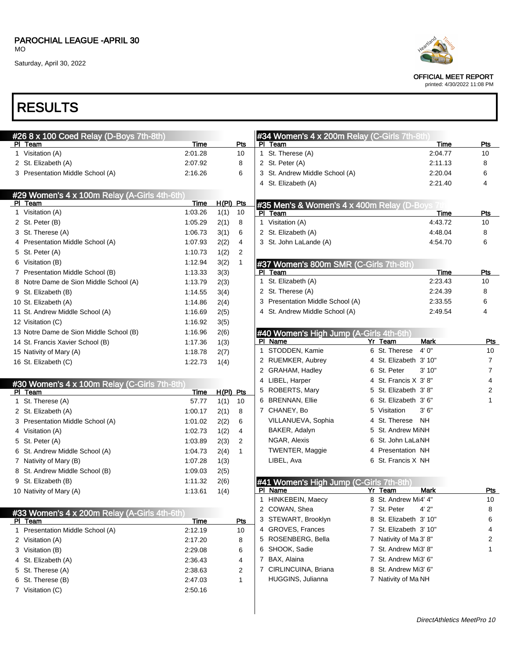### PAROCHIAL LEAGUE -APRIL 30

MO

Saturday, April 30, 2022



OFFICIAL MEET REPORT

printed: 4/30/2022 11:08 PM

| #26 8 x 100 Coed Relay (D-Boys 7th-8th)<br>PI Team | Time        |             | <u>Pts</u>   |   | #34 Women's 4 x 200m Relay (C-Girls 7th-8th)<br>PI Team |   |                        | <b>Time</b> | Pts                     |
|----------------------------------------------------|-------------|-------------|--------------|---|---------------------------------------------------------|---|------------------------|-------------|-------------------------|
| 1 Visitation (A)                                   | 2:01.28     |             | 10           |   | 1 St. Therese (A)                                       |   |                        | 2:04.77     | 10                      |
| 2 St. Elizabeth (A)                                | 2:07.92     |             | 8            |   | 2 St. Peter (A)                                         |   |                        | 2:11.13     | 8                       |
| 3 Presentation Middle School (A)                   | 2:16.26     |             | 6            |   | 3 St. Andrew Middle School (A)                          |   |                        | 2:20.04     | 6                       |
|                                                    |             |             |              |   | 4 St. Elizabeth (A)                                     |   |                        | 2:21.40     | 4                       |
| #29 Women's 4 x 100m Relay (A-Girls 4th-6th)       |             |             |              |   |                                                         |   |                        |             |                         |
| PI Team                                            | Time        | $H(PI)$ Pts |              |   | #35 Men's & Women's 4 x 400m Relay (D-Boys 7            |   |                        |             |                         |
| 1 Visitation (A)                                   | 1:03.26     | 1(1)        | 10           |   | PI Team                                                 |   |                        | <b>Time</b> | Pts                     |
| 2 St. Peter (B)                                    | 1:05.29     | 2(1)        | 8            |   | 1 Visitation (A)                                        |   |                        | 4:43.72     | 10                      |
| 3 St. Therese (A)                                  | 1:06.73     | 3(1)        | 6            |   | 2 St. Elizabeth (A)                                     |   |                        | 4:48.04     | 8                       |
| 4 Presentation Middle School (A)                   | 1:07.93     | 2(2)        | 4            |   | 3 St. John LaLande (A)                                  |   |                        | 4:54.70     | 6                       |
| 5 St. Peter (A)                                    | 1:10.73     | 1(2)        | 2            |   |                                                         |   |                        |             |                         |
| 6 Visitation (B)                                   | 1:12.94     | 3(2)        | 1            |   | #37 Women's 800m SMR (C-Girls 7th-8th)                  |   |                        |             |                         |
| 7 Presentation Middle School (B)                   | 1:13.33     | 3(3)        |              |   | PI Team                                                 |   |                        | <b>Time</b> | Pts                     |
| 8 Notre Dame de Sion Middle School (A)             | 1:13.79     | 2(3)        |              |   | 1 St. Elizabeth (A)                                     |   |                        | 2:23.43     | 10                      |
| 9 St. Elizabeth (B)                                | 1:14.55     | 3(4)        |              |   | 2 St. Therese (A)                                       |   |                        | 2:24.39     | 8                       |
| 10 St. Elizabeth (A)                               | 1:14.86     | 2(4)        |              |   | 3 Presentation Middle School (A)                        |   |                        | 2:33.55     | 6                       |
| 11 St. Andrew Middle School (A)                    | 1:16.69     | 2(5)        |              |   | 4 St. Andrew Middle School (A)                          |   |                        | 2:49.54     | 4                       |
| 12 Visitation (C)                                  | 1:16.92     | 3(5)        |              |   |                                                         |   |                        |             |                         |
| 13 Notre Dame de Sion Middle School (B)            | 1:16.96     | 2(6)        |              |   | #40 Women's High Jump (A-Girls 4th-6th)                 |   |                        |             |                         |
| 14 St. Francis Xavier School (B)                   | 1:17.36     | 1(3)        |              |   | PI Name                                                 |   | Yr Team                | <b>Mark</b> | Pts                     |
| 15 Nativity of Mary (A)                            | 1:18.78     | 2(7)        |              |   | 1 STODDEN, Kamie                                        |   | 6 St. Therese          | 4'0''       | 10                      |
| 16 St. Elizabeth (C)                               | 1:22.73     | 1(4)        |              |   | 2 RUEMKER, Aubrey                                       |   | 4 St. Elizabeth 3' 10" |             | $\overline{7}$          |
|                                                    |             |             |              |   | 2 GRAHAM, Hadley                                        |   | 6 St. Peter            | 3'10"       | $\overline{7}$          |
| #30 Women's 4 x 100m Relay (C-Girls 7th-8th)       |             |             |              |   | 4 LIBEL, Harper                                         |   | 4 St. Francis X 3'8"   |             | 4                       |
| PI Team                                            | Time        | $H(PI)$ Pts |              |   | 5 ROBERTS, Mary                                         |   | 5 St. Elizabeth 3'8"   |             | $\overline{\mathbf{c}}$ |
| 1 St. Therese (A)                                  | 57.77       | 1(1)        | 10           |   | 6 BRENNAN, Ellie                                        |   | 6 St. Elizabeth 3' 6"  |             | 1                       |
| 2 St. Elizabeth (A)                                | 1:00.17     | 2(1)        | 8            |   | 7 CHANEY, Bo                                            |   | 5 Visitation           | 3'6''       |                         |
| 3 Presentation Middle School (A)                   | 1:01.02     | 2(2)        | 6            |   | VILLANUEVA, Sophia                                      |   | 4 St. Therese NH       |             |                         |
| 4 Visitation (A)                                   | 1:02.73     | 1(2)        | 4            |   | BAKER, Adalyn                                           |   | 5 St. Andrew MiNH      |             |                         |
| 5 St. Peter (A)                                    | 1:03.89     | 2(3)        | 2            |   | NGAR, Alexis                                            |   | 6 St. John LaLaNH      |             |                         |
| 6 St. Andrew Middle School (A)                     | 1:04.73     | 2(4)        | $\mathbf{1}$ |   | TWENTER, Maggie                                         |   | 4 Presentation NH      |             |                         |
| 7 Nativity of Mary (B)                             | 1:07.28     | 1(3)        |              |   | LIBEL, Ava                                              |   | 6 St. Francis X NH     |             |                         |
| 8 St. Andrew Middle School (B)                     | 1:09.03     | 2(5)        |              |   |                                                         |   |                        |             |                         |
| 9 St. Elizabeth (B)                                | 1:11.32     | 2(6)        |              |   | #41 Women's High Jump (C-Girls 7th-8th)                 |   |                        |             |                         |
| 10 Nativity of Mary (A)                            | 1:13.61     | 1(4)        |              |   | PI Name                                                 |   | Yr Team                | Mark        | <b>Pts</b>              |
|                                                    |             |             |              |   | 1 HINKEBEIN, Maecy                                      |   | 8 St. Andrew Mi4' 4"   |             | 10                      |
| #33 Women's 4 x 200m Relay (A-Girls 4th-6th)       |             |             |              |   | 2 COWAN, Shea                                           |   | 7 St. Peter            | 4' 2"       | 8                       |
| PI Team                                            | <u>Time</u> |             | <u>Pts</u>   |   | 3 STEWART, Brooklyn                                     |   | 8 St. Elizabeth 3' 10" |             | 6                       |
| 1 Presentation Middle School (A)                   | 2:12.19     |             | 10           |   | 4 GROVES, Frances                                       |   | 7 St. Elizabeth 3' 10" |             | 4                       |
| 2 Visitation (A)                                   | 2:17.20     |             | 8            |   | 5 ROSENBERG, Bella                                      |   | 7 Nativity of Ma 3' 8" |             | 2                       |
| 3 Visitation (B)                                   | 2:29.08     |             | 6            |   | 6 SHOOK, Sadie                                          |   | 7 St. Andrew Mi3' 8"   |             | 1                       |
| 4 St. Elizabeth (A)                                | 2:36.43     |             | 4            | 7 | BAX, Alaina                                             |   | 7 St. Andrew Mi3' 6"   |             |                         |
| 5 St. Therese (A)                                  | 2:38.63     |             | 2            |   | 7 CIRLINCUINA, Briana                                   | 8 | St. Andrew Mi3' 6"     |             |                         |
| 6 St. Therese (B)                                  | 2:47.03     |             | 1            |   | HUGGINS, Julianna                                       |   | 7 Nativity of Ma NH    |             |                         |
| 7 Visitation (C)                                   | 2:50.16     |             |              |   |                                                         |   |                        |             |                         |
|                                                    |             |             |              |   |                                                         |   |                        |             |                         |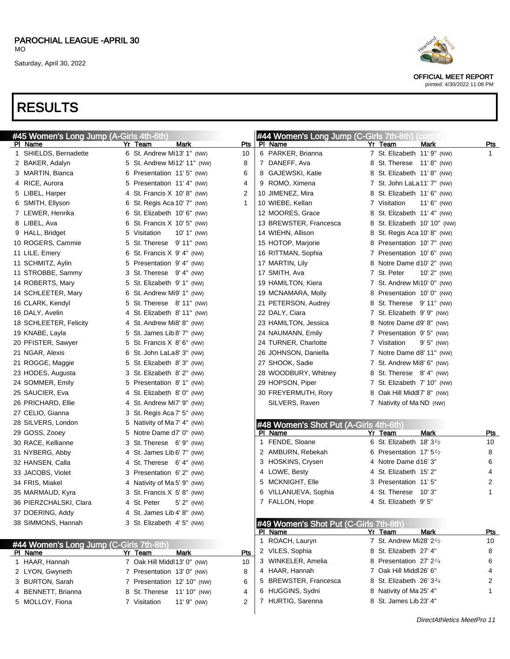OFFICIAL MEET REPORT printed: 4/30/2022 11:08 PM

| #45 Women's Long Jump (A-Girls 4th-6th) |    |                                                         |              |             | #44 Women's Long Jump (C-Girls 7th-8th) (cont'd   |                                      |                  |            |
|-----------------------------------------|----|---------------------------------------------------------|--------------|-------------|---------------------------------------------------|--------------------------------------|------------------|------------|
| PI Name                                 |    | Yr Team                                                 | Mark         | <b>Pts</b>  | PI Name                                           | Yr Team                              | Mark             | <b>Pts</b> |
| 1 SHIELDS, Bernadette                   |    | 6 St. Andrew Mi13' 1" (NW)                              |              | 10          | 6 PARKER, Brianna                                 | 7 St. Elizabeth 11' 9" (NW)          |                  | 1          |
| 2 BAKER, Adalyn                         |    | 5 St. Andrew Mi12' 11" (NW)                             |              | 8           | 7 DANEFF, Ava                                     | 8 St. Therese 11'8" (NW)             |                  |            |
| 3 MARTIN, Bianca                        |    | 6 Presentation 11'5" (NW)                               |              | 6           | 8 GAJEWSKI, Katie                                 | 8 St. Elizabeth 11'8" (NW)           |                  |            |
| 4 RICE, Aurora                          |    | 5 Presentation 11'4" (NW)                               |              | 4           | 9 ROMO, Ximena                                    | 7 St. John LaLa11' 7" (NW)           |                  |            |
| 5 LIBEL, Harper                         |    | 4 St. Francis X 10'8" (NW)                              |              | 2           | 10 JIMENEZ, Mira                                  | 8 St. Elizabeth 11' 6" (NW)          |                  |            |
| 6 SMITH, Ellyson                        |    | 6 St. Regis Aca 10' 7" (NW)                             |              | $\mathbf 1$ | 10 WIEBE, Kellan                                  | 7 Visitation                         | $11'$ 6" (NW)    |            |
| 7 LEWER, Henrika                        | 6. | St. Elizabeth 10' 6" (NW)                               |              |             | 12 MOORES, Grace                                  | 8 St. Elizabeth 11' 4" (NW)          |                  |            |
| 8 LIBEL, Ava                            | 6. | St. Francis $X$ 10' 5" (NW)                             |              |             | 13 BREWSTER, Francesca                            | 8 St. Elizabeth 10' 10" (NW)         |                  |            |
| 9 HALL, Bridget                         |    | 5 Visitation                                            | 10' 1" (NW)  |             | 14 WIEHN, Allison                                 | 8 St. Regis Aca 10' 8" (NW)          |                  |            |
| 10 ROGERS, Cammie                       | 5. | St. Therese 9' 11" (NW)                                 |              |             | 15 HOTOP, Marjorie                                | 8 Presentation 10' 7" (NW)           |                  |            |
| 11 LILE, Emery                          | 6. | St. Francis X 9' 4" (NW)                                |              |             | 16 RITTMAN, Sophia                                | 7 Presentation 10' 6" (NW)           |                  |            |
| 11 SCHMITZ, Aylin                       |    | 5 Presentation 9'4" (NW)                                |              |             | 17 MARTIN, Lily                                   | 8 Notre Dame d10' 2" (NW)            |                  |            |
| 11 STROBBE, Sammy                       |    | 3 St. Therese 9'4" (NW)                                 |              |             | 17 SMITH, Ava                                     | 7 St. Peter                          | $10'$ $2''$ (NW) |            |
| 14 ROBERTS, Mary                        |    | 5 St. Elizabeth 9' 1" (NW)                              |              |             | 19 HAMILTON, Kiera                                | 7 St. Andrew Mi10' 0" (NW)           |                  |            |
| 14 SCHLEETER, Mary                      | 6. | St. Andrew Mi9' 1" (NW)                                 |              |             | 19 MCNAMARA, Molly                                | 8 Presentation 10'0" (NW)            |                  |            |
| 16 CLARK, Kendyl                        | 5. | St. Therese 8'11" (NW)                                  |              |             | 21 PETERSON, Audrey                               | 8 St. Therese 9'11" (NW)             |                  |            |
| 16 DALY, Avelin                         |    | 4 St. Elizabeth 8' 11" (NW)                             |              |             | 22 DALY, Ciara                                    | 7 St. Elizabeth 9' 9" (NW)           |                  |            |
| 18 SCHLEETER, Felicity                  |    | 4 St. Andrew Mi8' 8" (NW)                               |              |             | 23 HAMILTON, Jessica                              | 8 Notre Dame d9' 8" (NW)             |                  |            |
| 19 KNABE, Layla                         | 5  | St. James Lib 8' 7" (NW)                                |              |             | 24 NAUMANN, Emily                                 | 7 Presentation 9'5" (NW)             |                  |            |
| 20 PFISTER, Sawyer                      |    | 5 St. Francis X 8' 6" (NW)                              |              |             | 24 TURNER, Charlotte                              | 7 Visitation                         | $9'5''$ (NW)     |            |
| 21 NGAR, Alexis                         | 6  | St. John LaLa8' 3" (NW)                                 |              |             | 26 JOHNSON, Daniella                              | 7 Notre Dame d8' 11" (NW)            |                  |            |
| 21 ROGGE, Maggie                        | 5. | St. Elizabeth 8'3" (NW)                                 |              |             | 27 SHOOK, Sadie                                   | 7 St. Andrew Mi8' 6" (NW)            |                  |            |
| 23 HODES, Augusta                       | 3  | St. Elizabeth 8' 2" (NW)                                |              |             | 28 WOODBURY, Whitney                              | 8 St. Therese 8'4" (NW)              |                  |            |
| 24 SOMMER, Emily                        |    | 5 Presentation 8'1" (NW)                                |              |             | 29 HOPSON, Piper                                  | 7 St. Elizabeth 7' 10" (NW)          |                  |            |
| 25 SAUCIER, Eva                         |    | 4 St. Elizabeth 8' 0" (NW)                              |              |             | 30 FREYERMUTH, Rory                               | 8 Oak Hill Middl7' 8" (NW)           |                  |            |
| 26 PRICHARD, Ellie                      |    | 4 St. Andrew Mi7' 9" (NW)                               |              |             | SILVERS, Raven                                    | 7 Nativity of Ma ND (NW)             |                  |            |
| 27 CELIO, Gianna                        |    | 3 St. Regis Aca 7' 5" (NW)                              |              |             |                                                   |                                      |                  |            |
| 28 SILVERS, London<br>29 GOSS, Zooey    |    | 5 Nativity of Ma 7' 4" (NW)<br>5 Notre Dame d7' 0" (NW) |              |             | #48 Women's Shot Put (A-Girls 4th-6th)<br>PI Name | Yr Team                              | Mark             | <u>Pts</u> |
| 30 RACE, Kellianne                      |    | 3 St. Therese 6'9" (NW)                                 |              |             | 1 FENDE, Sloane                                   | 6 St. Elizabeth 18' 31/2             |                  | 10         |
| 31 NYBERG, Abby                         |    | 4 St. James Lib 6' 7" (NW)                              |              |             | 2 AMBURN, Rebekah                                 | 6 Presentation 17' $5\frac{1}{2}$    |                  | 8          |
| 32 HANSEN, Calla                        |    | 4 St. Therese 6'4" (NW)                                 |              |             | 3 HOSKINS, Crysen                                 | 4 Notre Dame d16' 3"                 |                  | 6          |
| 33 JACOBS, Violet                       |    | 3 Presentation 6'2" (NW)                                |              |             | 4 LOWE, Besty                                     | 4 St. Elizabeth 15' 2"               |                  | 4          |
| 34 FRIS, Miakel                         |    | 4 Nativity of Ma 5' 9" (NW)                             |              |             | 5 MCKNIGHT, Elle                                  | 3 Presentation 11'5"                 |                  | 2          |
| 35 MARMAUD, Kyra                        |    | 3 St. Francis X 5' 8" (NW)                              |              |             | 6 VILLANUEVA, Sophia                              | 4 St. Therese 10'3"                  |                  | 1          |
| 36 PIERZCHALSKI, Clara                  |    | 4 St. Peter                                             | $5'$ 2" (NW) |             | 7 FALLON, Hope                                    | 4 St. Elizabeth 9'5"                 |                  |            |
| 37 DOERING, Addy                        |    | 4 St. James Lib 4' 8" (NW)                              |              |             |                                                   |                                      |                  |            |
| 38 SIMMONS, Hannah                      |    | 3 St. Elizabeth 4' 5" (NW)                              |              |             | #49 Women's Shot Put (C-Girls 7th-8th)            |                                      |                  |            |
|                                         |    |                                                         |              |             | PI Name                                           | Yr Team                              | Mark             | <u>Pts</u> |
| #44 Women's Long Jump (C-Girls 7th-8th) |    |                                                         |              |             | 1 ROACH, Lauryn                                   | 7 St. Andrew Mi28' 2 <sup>1</sup> /2 |                  | 10         |
| PI Name                                 |    | Yr Team                                                 | <b>Mark</b>  | Pts         | 2 VILES, Sophia                                   | 8 St. Elizabeth 27' 4"               |                  | 8          |
| 1 HAAR, Hannah                          |    | 7 Oak Hill Middl13' 0" (NW)                             |              | 10          | 3 WINKELER, Amelia                                | 8 Presentation 27' 2 <sup>1/4</sup>  |                  | 6          |
| 2 LYON, Gwyneth                         |    | 7 Presentation 13' 0" (NW)                              |              | 8           | 4 HAAR, Hannah                                    | 7 Oak Hill Middl26' 6"               |                  | 4          |
| 3 BURTON, Sarah                         |    | 7 Presentation 12' 10" (NW)                             |              | 6           | 5 BREWSTER, Francesca                             | 8 St. Elizabeth 26' 33/4             |                  | 2          |
| 4 BENNETT, Brianna                      |    | 8 St. Therese                                           | 11' 10" (NW) | 4           | 6 HUGGINS, Sydni                                  | 8 Nativity of Ma 25' 4"              |                  | 1          |
| 5 MOLLOY, Fiona                         |    | 7 Visitation                                            | 11' 9" (NW)  | 2           | 7 HURTIG, Sarenna                                 | 8 St. James Lib 23' 4"               |                  |            |
|                                         |    |                                                         |              |             |                                                   |                                      |                  |            |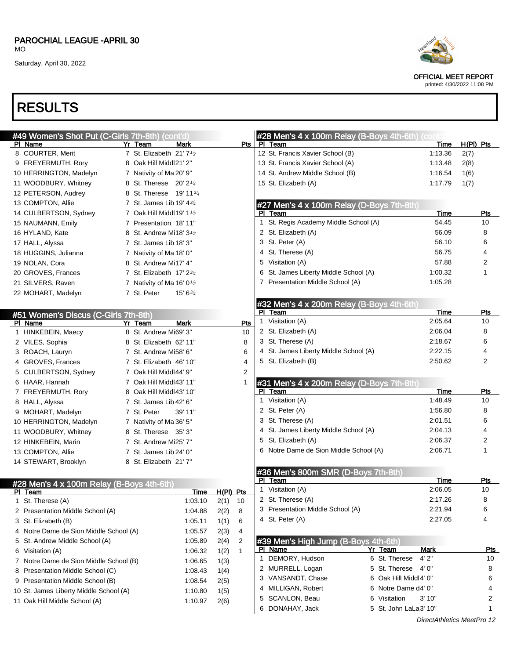## RESULTS

|   | #49 Women's Shot Put (C-Girls 7th-8th) (cont'd) |                                                  |           |                |   | #28 Men's 4 x 100m Relay (B-Boys 4th-6th) (con       |                        |                 |             |            |
|---|-------------------------------------------------|--------------------------------------------------|-----------|----------------|---|------------------------------------------------------|------------------------|-----------------|-------------|------------|
|   | PI Name                                         | Yr Team<br>Mark                                  |           | Pts            |   | PI Team                                              |                        | Time            | $H(PI)$ Pts |            |
|   | 8 COURTER, Merit                                | 7 St. Elizabeth $21'7'2$                         |           |                |   | 12 St. Francis Xavier School (B)                     |                        | 1:13.36         | 2(7)        |            |
|   | 9 FREYERMUTH, Rory                              | 8 Oak Hill Middl21' 2"                           |           |                |   | 13 St. Francis Xavier School (A)                     |                        | 1:13.48         | 2(8)        |            |
|   | 10 HERRINGTON, Madelyn                          | 7 Nativity of Ma 20' 9"                          |           |                |   | 14 St. Andrew Middle School (B)                      |                        | 1:16.54         | 1(6)        |            |
|   | 11 WOODBURY, Whitney                            | 8 St. Therese 20' 2 <sup>1/4</sup>               |           |                |   | 15 St. Elizabeth (A)                                 |                        | 1:17.79         | 1(7)        |            |
|   | 12 PETERSON, Audrey                             | 8 St. Therese 19' 11 <sup>3/4</sup>              |           |                |   |                                                      |                        |                 |             |            |
|   | 13 COMPTON, Allie                               | 7 St. James Lib 19' $4\frac{3}{4}$               |           |                |   | #27 Men's 4 x 100m Relay (D-Boys 7th-8th)            |                        |                 |             |            |
|   | 14 CULBERTSON, Sydney                           | 7 Oak Hill Middl 19' $1\frac{1}{2}$              |           |                |   | PI Team                                              |                        | Time            |             | <b>Pts</b> |
|   | 15 NAUMANN, Emily                               | 7 Presentation 18'11"                            |           |                |   | 1 St. Regis Academy Middle School (A)                |                        | 54.45           |             | 10         |
|   | 16 HYLAND, Kate                                 | 8 St. Andrew Mi18' 3 <sup>1</sup> / <sub>2</sub> |           |                |   | 2 St. Elizabeth (A)                                  |                        | 56.09           |             | 8          |
|   | 17 HALL, Alyssa                                 | 7 St. James Lib 18' 3"                           |           |                |   | 3 St. Peter (A)                                      |                        | 56.10           |             | 6          |
|   | 18 HUGGINS, Julianna                            | 7 Nativity of Ma 18' 0"                          |           |                |   | 4 St. Therese (A)                                    |                        | 56.75           |             | 4          |
|   | 19 NOLAN, Cora                                  | 8 St. Andrew Mi17' 4"                            |           |                |   | 5 Visitation (A)                                     |                        | 57.88           |             | 2          |
|   | 20 GROVES, Frances                              | 7 St. Elizabeth $17' 23/4$                       |           |                |   | 6 St. James Liberty Middle School (A)                |                        | 1:00.32         |             | 1          |
|   | 21 SILVERS, Raven                               | 7 Nativity of Ma 16' 0 $\frac{1}{2}$             |           |                |   | 7 Presentation Middle School (A)                     |                        | 1:05.28         |             |            |
|   | 22 MOHART, Madelyn                              | 7 St. Peter<br>$15' 6^{3/4}$                     |           |                |   |                                                      |                        |                 |             |            |
|   |                                                 |                                                  |           |                |   |                                                      |                        |                 |             |            |
|   |                                                 |                                                  |           |                |   | #32 Men's 4 x 200m Relay (B-Boys 4th-6th)<br>PI Team |                        | Time            |             | Pts        |
|   | #51 Women's Discus (C-Girls 7th-8th)<br>PI Name | <b>Mark</b><br>Yr Team                           |           | Pts            |   | 1 Visitation (A)                                     |                        | 2:05.64         |             | 10         |
|   | 1 HINKEBEIN, Maecy                              | 8 St. Andrew Mi69' 3"                            |           | 10             |   | 2 St. Elizabeth (A)                                  |                        | 2:06.04         |             | 8          |
|   | 2 VILES, Sophia                                 | 8 St. Elizabeth 62' 11"                          |           | 8              |   | 3 St. Therese (A)                                    |                        | 2:18.67         |             | 6          |
|   | 3 ROACH, Lauryn                                 | 7 St. Andrew Mi58' 6"                            |           | 6              |   | 4 St. James Liberty Middle School (A)                |                        | 2:22.15         |             | 4          |
|   | 4 GROVES, Frances                               | 7 St. Elizabeth 46' 10"                          |           | 4              |   | 5 St. Elizabeth (B)                                  |                        | 2:50.62         |             | 2          |
|   | 5 CULBERTSON, Sydney                            |                                                  |           |                |   |                                                      |                        |                 |             |            |
|   |                                                 | 7 Oak Hill Middl44' 9"                           |           | 2              |   |                                                      |                        |                 |             |            |
|   | 6 HAAR, Hannah                                  | 7 Oak Hill Middl43' 11"                          |           | 1              |   | #31 Men's 4 x 200m Relay (D-Boys 7th-8th)            |                        |                 |             |            |
|   | 7 FREYERMUTH, Rory                              | 8 Oak Hill Middl43' 10"                          |           |                |   | PI Team<br>1 Visitation (A)                          |                        | Time<br>1:48.49 |             | Pts<br>10  |
|   | 8 HALL, Alyssa                                  | 7 St. James Lib 42' 6"                           |           |                |   |                                                      |                        |                 |             |            |
|   | 9 MOHART, Madelyn                               | 7 St. Peter<br>39' 11"                           |           |                |   | 2 St. Peter (A)                                      |                        | 1:56.80         |             | 8          |
|   | 10 HERRINGTON, Madelyn                          | 7 Nativity of Ma 36' 5"                          |           |                |   | 3 St. Therese (A)                                    |                        | 2:01.51         |             | 6          |
|   | 11 WOODBURY, Whitney                            | 8 St. Therese 35' 3"                             |           |                |   | 4 St. James Liberty Middle School (A)                |                        | 2:04.13         |             | 4          |
|   | 12 HINKEBEIN, Marin                             | 7 St. Andrew Mi25' 7"                            |           |                |   | 5 St. Elizabeth (A)                                  |                        | 2:06.37         |             | 2          |
|   | 13 COMPTON, Allie                               | 7 St. James Lib 24' 0"                           |           |                |   | 6 Notre Dame de Sion Middle School (A)               |                        | 2:06.71         |             | 1          |
|   | 14 STEWART, Brooklyn                            | 8 St. Elizabeth 21'7"                            |           |                |   |                                                      |                        |                 |             |            |
|   |                                                 |                                                  |           |                |   | #36 Men's 800m SMR (D-Boys 7th-8th)                  |                        |                 |             |            |
|   | #28 Men's 4 x 100m Relay (B-Boys 4th-6th)       |                                                  |           |                |   | PI Team                                              |                        | Time            |             | <b>Pts</b> |
|   | PI Team                                         | Time                                             | H(PI) Pts |                |   | 1 Visitation (A)                                     |                        | 2:06.05         |             | 10         |
|   | 1 St. Therese (A)                               | 1:03.10                                          | 2(1)      | 10             |   | 2 St. Therese (A)                                    |                        | 2:17.26         |             | 8          |
|   | 2 Presentation Middle School (A)                | 1:04.88                                          | 2(2)      | 8              |   | 3 Presentation Middle School (A)                     |                        | 2:21.94         |             | 6          |
|   | 3 St. Elizabeth (B)                             | 1:05.11                                          | 1(1)      | 6              |   | 4 St. Peter (A)                                      |                        | 2:27.05         |             | 4          |
|   | 4 Notre Dame de Sion Middle School (A)          | 1:05.57                                          | 2(3)      | 4              |   |                                                      |                        |                 |             |            |
|   | 5 St. Andrew Middle School (A)                  | 1:05.89                                          | 2(4)      | $\overline{2}$ |   | #39 Men's High Jump (B-Boys 4th-6th)                 |                        |                 |             |            |
|   | 6 Visitation (A)                                | 1:06.32                                          | 1(2)      | $\mathbf{1}$   |   | PI Name                                              | Yr Team                | Mark            |             | <u>Pts</u> |
|   | 7 Notre Dame de Sion Middle School (B)          | 1:06.65                                          | 1(3)      |                |   | 1 DEMORY, Hudson                                     | 4'2"<br>6 St. Therese  |                 |             | 10         |
| 8 | Presentation Middle School (C)                  | 1:08.43                                          | 1(4)      |                |   | 2 MURRELL, Logan                                     | 5 St. Therese<br>4' 0" |                 |             | 8          |
|   | 9 Presentation Middle School (B)                | 1:08.54                                          | 2(5)      |                |   | 3 VANSANDT, Chase                                    | 6 Oak Hill Middl4' 0"  |                 |             | 6          |
|   | 10 St. James Liberty Middle School (A)          | 1:10.80                                          | 1(5)      |                |   | 4 MILLIGAN, Robert                                   | 6 Notre Dame d4' 0"    |                 |             | 4          |
|   | 11 Oak Hill Middle School (A)                   | 1:10.97                                          |           |                | 5 | SCANLON, Beau                                        | 6 Visitation           | 3' 10"          |             | 2          |
|   |                                                 |                                                  | 2(6)      |                |   | 6 DONAHAY, Jack                                      | 5 St. John LaLa3' 10"  |                 |             | 1          |
|   |                                                 |                                                  |           |                |   |                                                      |                        |                 |             |            |



OFFICIAL MEET REPORT printed: 4/30/2022 11:08 PM

DirectAthletics MeetPro 12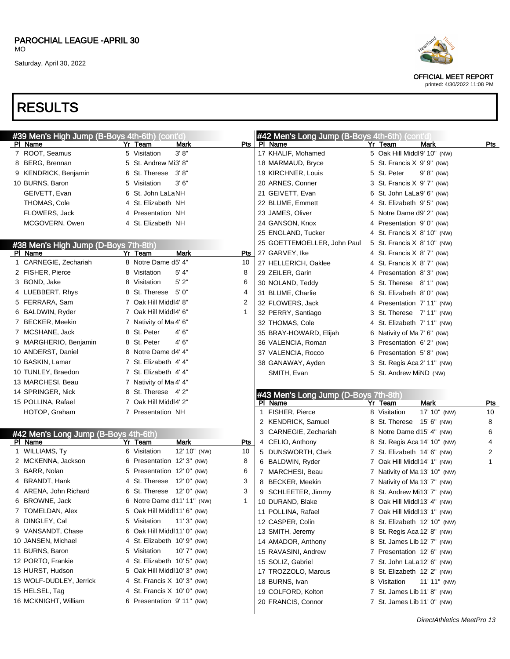| PAROCHIAL LEAGUE -APRIL 30 |  |
|----------------------------|--|
| МO                         |  |

# RESULTS

| #39 Men's High Jump (B-Boys 4th-6th) (cont'd) |    |                               |     | #42 Men's Long Jump (B-Boys 4th-6th) (cont'd) |                               |               |            |
|-----------------------------------------------|----|-------------------------------|-----|-----------------------------------------------|-------------------------------|---------------|------------|
| PI Name                                       | Yr | Team<br>Mark                  | Pts | PI Name                                       | Yr Team                       | Mark          | Pts        |
| 7 ROOT, Seamus                                |    | 3' 8''<br>5 Visitation        |     | 17 KHALIF, Mohamed                            | 5 Oak Hill Middl9' 10" (NW)   |               |            |
| 8 BERG, Brennan                               |    | 5 St. Andrew Mi3' 8"          |     | 18 MARMAUD, Bryce                             | 5 St. Francis X 9' 9" (NW)    |               |            |
| 9 KENDRICK, Benjamin                          |    | 6 St. Therese 3'8"            |     | 19 KIRCHNER, Louis                            | 5 St. Peter                   | $9' 8''$ (NW) |            |
| 10 BURNS, Baron                               |    | 3'6''<br>5 Visitation         |     | 20 ARNES, Conner                              | 3 St. Francis X 9' 7" (NW)    |               |            |
| GEIVETT, Evan                                 | 6  | St. John LaLaNH               |     | 21 GEIVETT, Evan                              | 6 St. John LaLa9' 6" (NW)     |               |            |
| THOMAS, Cole                                  |    | 4 St. Elizabeth NH            |     | 22 BLUME, Emmett                              | 4 St. Elizabeth 9'5" (NW)     |               |            |
| FLOWERS, Jack                                 |    | 4 Presentation NH             |     | 23 JAMES, Oliver                              | 5 Notre Dame d9' 2" (NW)      |               |            |
| MCGOVERN, Owen                                |    | 4 St. Elizabeth NH            |     | 24 GANSON, Knox                               | 4 Presentation 9'0" (NW)      |               |            |
|                                               |    |                               |     | 25 ENGLAND, Tucker                            | 4 St. Francis X 8' 10" (NW)   |               |            |
| #38 Men's High Jump (D-Boys 7th-8th)          |    |                               |     | 25 GOETTEMOELLER, John Paul                   | 5 St. Francis X 8' 10" (NW)   |               |            |
| PI Name                                       |    | Yr Team<br>Mark               | Pts | 27 GARVEY, Ike                                | 4 St. Francis X 8' 7" (NW)    |               |            |
| 1 CARNEGIE, Zechariah                         |    | 8 Notre Dame d5' 4"           | 10  | 27 HELLERICH, Oaklee                          | 4 St. Francis X 8' 7" (NW)    |               |            |
| 2 FISHER, Pierce                              |    | 5' 4"<br>8 Visitation         | 8   | 29 ZEILER, Garin                              | 4 Presentation 8'3" (NW)      |               |            |
| 3 BOND, Jake                                  |    | 5'2"<br>8 Visitation          | 6   | 30 NOLAND, Teddy                              | 5 St. Therese 8' 1" (NW)      |               |            |
| 4 LUEBBERT, Rhys                              |    | 8 St. Therese<br>5' 0"        | 4   | 31 BLUME, Charlie                             | 6 St. Elizabeth 8'0" (NW)     |               |            |
| 5 FERRARA, Sam                                |    | 7 Oak Hill Middl4' 8"         | 2   | 32 FLOWERS, Jack                              | 4 Presentation 7'11" (NW)     |               |            |
| 6 BALDWIN, Ryder                              |    | 7 Oak Hill Middl4' 6"         | -1  | 32 PERRY, Santiago                            | 3 St. Therese 7' 11" (NW)     |               |            |
| 7 BECKER, Meekin                              |    | 7 Nativity of Ma 4' 6"        |     | 32 THOMAS, Cole                               | 4 St. Elizabeth 7' 11" (NW)   |               |            |
| 7 MCSHANE, Jack                               |    | 4' 6"<br>8 St. Peter          |     | 35 BRAY-HOWARD, Elijah                        | 6 Nativity of Ma 7' 6" (NW)   |               |            |
| 9 MARGHERIO, Benjamin                         |    | 8 St. Peter<br>4' 6"          |     | 36 VALENCIA, Roman                            | 3 Presentation 6'2" (NW)      |               |            |
| 10 ANDERST, Daniel                            |    | 8 Notre Dame d4' 4"           |     | 37 VALENCIA, Rocco                            | 6 Presentation 5'8" (NW)      |               |            |
| 10 BASKIN, Lamar                              |    | 7 St. Elizabeth 4' 4"         |     | 38 GANAWAY, Ayden                             | 3 St. Regis Aca 2' 11" (NW)   |               |            |
| 10 TUNLEY, Braedon                            |    | 7 St. Elizabeth 4' 4"         |     | SMITH, Evan                                   | 5 St. Andrew MiND (NW)        |               |            |
| 13 MARCHESI, Beau                             |    | 7 Nativity of Ma 4' 4"        |     |                                               |                               |               |            |
| 14 SPRINGER, Nick                             |    | 8 St. Therese 4'2"            |     | #43 Men's Long Jump (D-Boys 7th-8th)          |                               |               |            |
| 15 POLLINA, Rafael                            |    | 7 Oak Hill Middl4' 2"         |     | PI Name                                       | Yr Team                       | <b>Mark</b>   | <b>Pts</b> |
| HOTOP, Graham                                 |    | 7 Presentation NH             |     | 1 FISHER, Pierce                              | 8 Visitation                  | 17' 10" (NW)  | 10         |
|                                               |    |                               |     | 2 KENDRICK, Samuel                            | 8 St. Therese 15' 6" (NW)     |               | 8          |
| #42 Men's Long Jump (B-Boys 4th-6th)          |    |                               |     | 3 CARNEGIE, Zechariah                         | 8 Notre Dame d15' 4" (NW)     |               | 6          |
| PI Name                                       |    | <b>Mark</b><br>Yr Team        | Pts | 4 CELIO, Anthony                              | 8 St. Regis Aca 14' 10" (NW)  |               | 4          |
| 1 WILLIAMS, Ty                                |    | 6 Visitation<br>12' 10" (NW)  | 10  | 5 DUNSWORTH, Clark                            | 7 St. Elizabeth 14' 6" (NW)   |               | 2          |
| 2 MCKENNA, Jackson                            |    | 6 Presentation 12' 3" (NW)    | 8   | 6 BALDWIN, Ryder                              | 7 Oak Hill Middl 14' 1" (NW)  |               | 1          |
| 3 BARR, Nolan                                 |    | 5 Presentation 12' 0" (NW)    | 6   | 7 MARCHESI, Beau                              | 7 Nativity of Ma 13' 10" (NW) |               |            |
| 4 BRANDT, Hank                                |    | 4 St. Therese 12' 0" (NW)     | 3   | 8 BECKER, Meekin                              | 7 Nativity of Ma 13' 7" (NW)  |               |            |
| 4 ARENA, John Richard                         |    | 6 St. Therese 12' 0" (NW)     | 3   | 9 SCHLEETER, Jimmy                            | 8 St. Andrew Mi13' 7" (NW)    |               |            |
| 6 BROWNE, Jack                                |    | 6 Notre Dame d11' 11" (NW)    |     | 10 DURAND, Blake                              | 8 Oak Hill Middl 13' 4" (NW)  |               |            |
| 7 TOMELDAN, Alex                              |    | 5 Oak Hill Middl11' 6" (NW)   |     | 11 POLLINA, Rafael                            | 7 Oak Hill Middl 13' 1" (NW)  |               |            |
|                                               |    |                               |     |                                               |                               |               |            |
| 8 DINGLEY, Cal                                |    | 5 Visitation<br>$11'3''$ (NW) |     | 12 CASPER, Colin                              | 8 St. Elizabeth 12' 10" (NW)  |               |            |
| 9 VANSANDT, Chase                             |    | 6 Oak Hill Middl11' 0" (NW)   |     | 13 SMITH, Jeremy                              | 8 St. Regis Aca 12' 8" (NW)   |               |            |
| 10 JANSEN, Michael                            |    | 4 St. Elizabeth 10' 9" (NW)   |     | 14 AMADOR, Anthony                            | 8 St. James Lib 12' 7" (NW)   |               |            |
| 11 BURNS, Baron                               |    | 5 Visitation<br>$10'7''$ (NW) |     | 15 RAVASINI, Andrew                           | 7 Presentation 12' 6" (NW)    |               |            |
| 12 PORTO, Frankie                             |    | 4 St. Elizabeth 10' 5" (NW)   |     | 15 SOLIZ, Gabriel                             | 7 St. John LaLa12' 6" (NW)    |               |            |
| 13 HURST, Hudson                              |    | 5 Oak Hill Middl10' 3" (NW)   |     |                                               | 8 St. Elizabeth 12' 2" (NW)   |               |            |
| 13 WOLF-DUDLEY, Jerrick                       |    | 4 St. Francis X 10' 3" (NW)   |     | 17 TROZZOLO, Marcus<br>18 BURNS, Ivan         | 8 Visitation                  |               |            |
| 15 HELSEL, Tag                                |    | 4 St. Francis X 10' 0" (NW)   |     |                                               | 7 St. James Lib 11' 8" (NW)   | 11' 11" (NW)  |            |
| 16 MCKNIGHT, William                          |    | 6 Presentation 9'11" (NW)     |     | 19 COLFORD, Kolton<br>20 FRANCIS, Connor      | 7 St. James Lib 11' 0" (NW)   |               |            |



OFFICIAL MEET REPORT printed: 4/30/2022 11:08 PM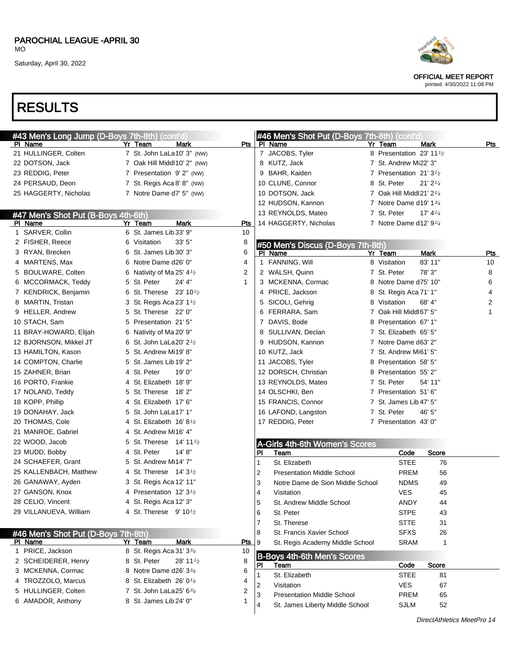| PAROCHIAL LEAGUE -APRIL 30 |  |
|----------------------------|--|
| MO.                        |  |



OFFICIAL MEET REPORT

printed: 4/30/2022 11:08 PM

| #43 Men's Long Jump (D-Boys 7th-8th) (cont'd)  |                                                   |              | #46 Men's Shot Put (D-Boys 7th-8th) (cont'd) |                                      |                                      |                            |
|------------------------------------------------|---------------------------------------------------|--------------|----------------------------------------------|--------------------------------------|--------------------------------------|----------------------------|
| PI Name                                        | Yr Team<br>Mark                                   | Pts          | PI Name                                      | Yr Team                              | <b>Mark</b>                          | Pts                        |
| 21 HULLINGER, Colten                           | 7 St. John LaLa10' 3" (NW)                        |              | 7 JACOBS, Tyler                              | 8 Presentation 23' 11 1/2            |                                      |                            |
| 22 DOTSON, Jack                                | 7 Oak Hill Middl10' 2" (NW)                       |              | 8 KUTZ, Jack                                 | 7 St. Andrew Mi22' 3"                |                                      |                            |
| 23 REDDIG, Peter                               | 7 Presentation 9'2" (NW)                          |              | 9 BAHR, Kaiden                               | 7 Presentation 21' 3 <sup>1</sup> /2 |                                      |                            |
| 24 PERSAUD, Deon                               | 7 St. Regis Aca 8' 8" (NW)                        |              | 10 CLUNE, Connor                             | 8 St. Peter                          | $21'$ $2'$ <sup><math>4</math></sup> |                            |
| 25 HAGGERTY, Nicholas                          | 7 Notre Dame d7' 5" (NW)                          |              | 10 DOTSON, Jack                              | 7 Oak Hill Middl21' 2 $\frac{1}{4}$  |                                      |                            |
|                                                |                                                   |              | 12 HUDSON, Kannon                            | 7 Notre Dame d19' $1\frac{3}{4}$     |                                      |                            |
| #47 Men's Shot Put (B-Boys 4th-6th)            |                                                   |              | 13 REYNOLDS, Mateo                           | 7 St. Peter                          | 17' $4\frac{1}{4}$                   |                            |
| PI Name                                        | <b>Mark</b><br>Yr Team                            | <b>Pts</b>   | 14 HAGGERTY, Nicholas                        | 7 Notre Dame d12' $9\frac{1}{4}$     |                                      |                            |
| 1 SARVER, Collin                               | 6 St. James Lib 33' 9"                            | 10           |                                              |                                      |                                      |                            |
| 2 FISHER, Reece                                | 6 Visitation<br>33'5''                            | 8            | #50 Men's Discus (D-Boys 7th-8th)            |                                      |                                      |                            |
| 3 RYAN, Brecken                                | 6 St. James Lib 30' 3"                            | 6            | PI Name                                      | Yr Team                              | <b>Mark</b>                          | <u>Pts</u>                 |
| 4 MARTENS, Max                                 | 6 Notre Dame d26' 0"                              | 4            | 1 FANNING, Will                              | 8 Visitation                         | 83' 11"                              | 10                         |
| 5 BOULWARE, Colten                             | 6 Nativity of Ma 25' 4 $\frac{1}{2}$              | 2            | 2 WALSH, Quinn                               | 7 St. Peter                          | 78' 3"                               | 8                          |
| 6 MCCORMACK, Teddy                             | 5 St. Peter<br>24' 4"                             | $\mathbf{1}$ | 3 MCKENNA, Cormac                            | 8 Notre Dame d75' 10"                |                                      | 6                          |
| 7 KENDRICK, Benjamin                           | 6 St. Therese 23' 101/2                           |              | 4 PRICE, Jackson                             | 8 St. Regis Aca 71' 1"               |                                      | 4                          |
| 8 MARTIN, Tristan                              | 3 St. Regis Aca 23' 1 <sup>1</sup> / <sub>2</sub> |              | 5 SICOLI, Gehrig                             | 8 Visitation                         | 68' 4"                               | 2                          |
| 9 HELLER, Andrew                               | 5 St. Therese 22' 0"                              |              | 6 FERRARA, Sam                               | 7 Oak Hill Middl67' 5"               |                                      | 1                          |
| 10 STACH, Sam                                  | 5 Presentation 21' 5"                             |              | 7 DAVIS, Bode                                | 8 Presentation 67' 1"                |                                      |                            |
| 11 BRAY-HOWARD, Elijah                         | 6 Nativity of Ma 20' 9"                           |              | 8 SULLIVAN, Declan                           | 7 St. Elizabeth 65' 5"               |                                      |                            |
| 12 BJORNSON, Mikkel JT                         | 6 St. John LaLa20' $2\frac{1}{2}$                 |              | 9 HUDSON, Kannon                             | 7 Notre Dame d63' 2"                 |                                      |                            |
| 13 HAMILTON, Kason                             | 5 St. Andrew Mi19' 8"                             |              | 10 KUTZ, Jack                                | 7 St. Andrew Mi61' 5"                |                                      |                            |
| 14 COMPTON, Charlie                            | 5 St. James Lib 19' 2"                            |              | 11 JACOBS, Tyler                             | 8 Presentation 58' 5"                |                                      |                            |
| 15 ZAHNER, Brian                               | 4 St. Peter<br>19'0"                              |              | 12 DORSCH, Christian                         | 8 Presentation 55' 2"                |                                      |                            |
| 16 PORTO, Frankie                              | 4 St. Elizabeth 18' 9"                            |              | 13 REYNOLDS, Mateo                           | 7 St. Peter                          | 54' 11"                              |                            |
| 17 NOLAND, Teddy                               | 5 St. Therese 18' 2"                              |              | 14 OLSCHKI, Ben                              | 7 Presentation 51'6"                 |                                      |                            |
| 18 KOPP, Phillip                               | 4 St. Elizabeth 17' 6"                            |              | 15 FRANCIS, Connor                           | 7 St. James Lib 47' 5"               |                                      |                            |
| 19 DONAHAY, Jack                               | 5 St. John LaLa17' 1"                             |              | 16 LAFOND, Langston                          | 7 St. Peter                          | 46' 5"                               |                            |
| 20 THOMAS, Cole                                | 4 St. Elizabeth $16'8\frac{1}{2}$                 |              | 17 REDDIG, Peter                             | 7 Presentation 43'0"                 |                                      |                            |
| 21 MANROE, Gabriel                             | 4 St. Andrew Mi16' 4"                             |              |                                              |                                      |                                      |                            |
| 22 WOOD, Jacob                                 | 5 St. Therese $14' 11'$                           |              | A-Girls 4th-6th Women's Scores               |                                      |                                      |                            |
| 23 MUDD, Bobby                                 | 4 St. Peter<br>14' 8''                            |              | Team<br>PI                                   | Code                                 | Score                                |                            |
| 24 SCHAEFER, Grant                             | 5 St. Andrew Mi14' 7"                             |              | St. Elizabeth<br>1                           | <b>STEE</b>                          | 76                                   |                            |
| 25 KALLENBACH, Matthew                         | 4 St. Therese $14'3\frac{1}{2}$                   |              | 2<br><b>Presentation Middle School</b>       | PREM                                 | 56                                   |                            |
| 26 GANAWAY, Ayden                              | 3 St. Regis Aca 12' 11"                           |              | 3<br>Notre Dame de Sion Middle School        | <b>NDMS</b>                          | 49                                   |                            |
| 27 GANSON, Knox                                | 4 Presentation 12' 3 <sup>1</sup> / <sub>2</sub>  |              | $\overline{4}$<br>Visitation                 | <b>VES</b>                           | 45                                   |                            |
| 28 CELIO, Vincent                              | 4 St. Regis Aca 12' 3"                            |              | 5<br>St. Andrew Middle School                | <b>ANDY</b>                          | 44                                   |                            |
| 29 VILLANUEVA, William                         | 4 St. Therese 9' 10 <sup>1</sup> /2               |              | 6<br>St. Peter                               | <b>STPE</b>                          | 43                                   |                            |
|                                                |                                                   |              | St. Therese<br>7                             | <b>STTE</b>                          | 31                                   |                            |
|                                                |                                                   |              | St. Francis Xavier School<br>8               | <b>SFXS</b>                          | 26                                   |                            |
| #46 Men's Shot Put (D-Boys 7th-8th)<br>PI Name | Yr Team<br>Mark                                   | <u>Pts</u>   | 9<br>St. Regis Academy Middle School         | <b>SRAM</b>                          | 1                                    |                            |
| 1 PRICE, Jackson                               | 8 St. Regis Aca 31' 334                           | 10           |                                              |                                      |                                      |                            |
| 2 SCHEIDERER, Henry                            | 8 St. Peter<br>28' 11 <sup>1/2</sup>              | 8            | <b>B-Boys 4th-6th Men's Scores</b>           |                                      |                                      |                            |
| 3 MCKENNA, Cormac                              | 8 Notre Dame d26' 33/4                            | 6            | Team<br>PI.                                  | Code                                 | Score                                |                            |
| 4 TROZZOLO, Marcus                             | 8 St. Elizabeth 26' 01/4                          | 4            | St. Elizabeth                                | <b>STEE</b>                          | 81                                   |                            |
| 5 HULLINGER, Colten                            | 7 St. John LaLa25' 63/4                           | 2            | Visitation<br>2                              | <b>VES</b>                           | 67                                   |                            |
| 6 AMADOR, Anthony                              | 8 St. James Lib 24' 0"                            | 1            | <b>Presentation Middle School</b><br>3       | PREM                                 | 65                                   |                            |
|                                                |                                                   |              | St. James Liberty Middle School<br>4         | <b>SJLM</b>                          | 52                                   |                            |
|                                                |                                                   |              |                                              |                                      |                                      | DirectAthletics MeetPro 14 |